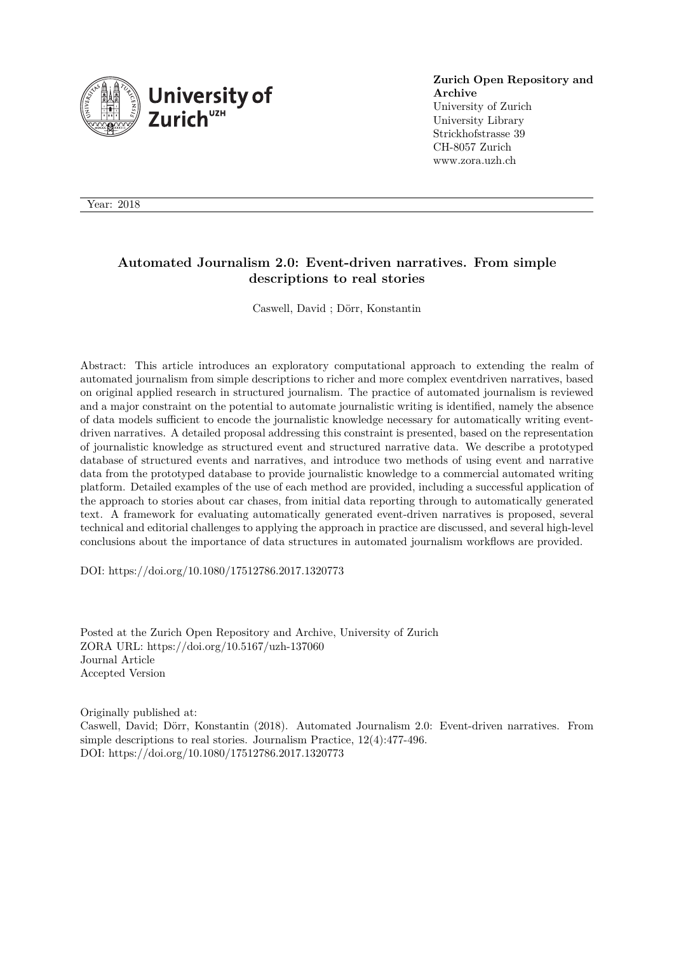

**Zurich Open Repository and Archive** University of Zurich University Library Strickhofstrasse 39 CH-8057 Zurich

www.zora.uzh.ch

Year: 2018

### **Automated Journalism 2.0: Event-driven narratives. From simple descriptions to real stories**

Caswell, David ; Dörr, Konstantin

Abstract: This article introduces an exploratory computational approach to extending the realm of automated journalism from simple descriptions to richer and more complex event driven narratives, based on original applied research in structured journalism. The practice of automated journalism is reviewed and a major constraint on the potential to automate journalistic writing is identified, namely the absence of data models sufficient to encode the journalistic knowledge necessary for automatically writing eventdriven narratives. A detailed proposal addressing this constraint is presented, based on the representation of journalistic knowledge as structured event and structured narrative data. We describe a prototyped database of structured events and narratives, and introduce two methods of using event and narrative data from the prototyped database to provide journalistic knowledge to a commercial automated writing platform. Detailed examples of the use of each method are provided, including a successful application of the approach to stories about car chases, from initial data reporting through to automatically generated text. A framework for evaluating automatically generated event-driven narratives is proposed, several technical and editorial challenges to applying the approach in practice are discussed, and several high-level conclusions about the importance of data structures in automated journalism workflows are provided.

DOI: https://doi.org/10.1080/17512786.2017.1320773

Posted at the Zurich Open Repository and Archive, University of Zurich ZORA URL: https://doi.org/10.5167/uzh-137060 Journal Article Accepted Version

Originally published at: Caswell, David; Dörr, Konstantin (2018). Automated Journalism 2.0: Event-driven narratives. From simple descriptions to real stories. Journalism Practice, 12(4):477-496. DOI: https://doi.org/10.1080/17512786.2017.1320773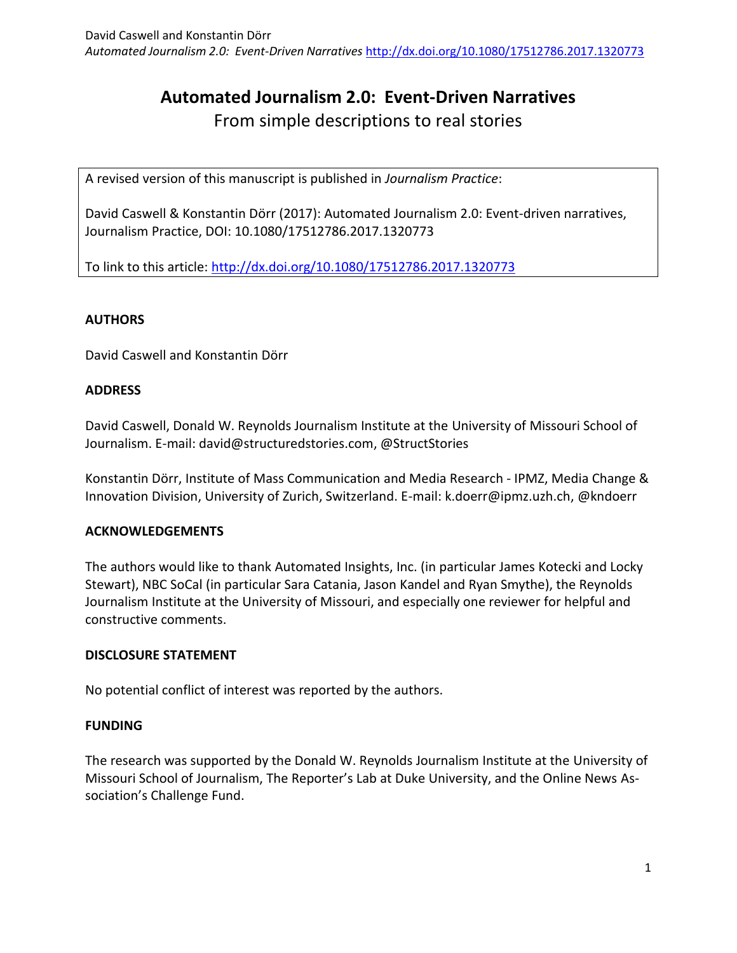# **Automated Journalism 2.0: Event-Driven Narratives**  From simple descriptions to real stories

A revised version of this manuscript is published in *Journalism Practice*:

David Caswell & Konstantin Dörr (2017): Automated Journalism 2.0: Event-driven narratives, Journalism Practice, DOI: 10.1080/17512786.2017.1320773

To link to this article:<http://dx.doi.org/10.1080/17512786.2017.1320773>

# **AUTHORS**

David Caswell and Konstantin Dörr

# **ADDRESS**

David Caswell, Donald W. Reynolds Journalism Institute at the University of Missouri School of Journalism. E-mail: [david@structuredstories.com,](mailto:david@structuredstories.com) @StructStories

Konstantin Dörr, Institute of Mass Communication and Media Research - IPMZ, Media Change & Innovation Division, University of Zurich, Switzerland. E-mail[: k.doerr@ipmz.uzh.ch,](mailto:k.doerr@ipmz.uzh.ch) @kndoerr

# **ACKNOWLEDGEMENTS**

The authors would like to thank Automated Insights, Inc. (in particular James Kotecki and Locky Stewart), NBC SoCal (in particular Sara Catania, Jason Kandel and Ryan Smythe), the Reynolds Journalism Institute at the University of Missouri, and especially one reviewer for helpful and constructive comments.

### **DISCLOSURE STATEMENT**

No potential conflict of interest was reported by the authors.

# **FUNDING**

The research was supported by the Donald W. Reynolds Journalism Institute at the University of Missouri School of Journalism, The Reporter's Lab at Duke University, and the Online News Association's Challenge Fund.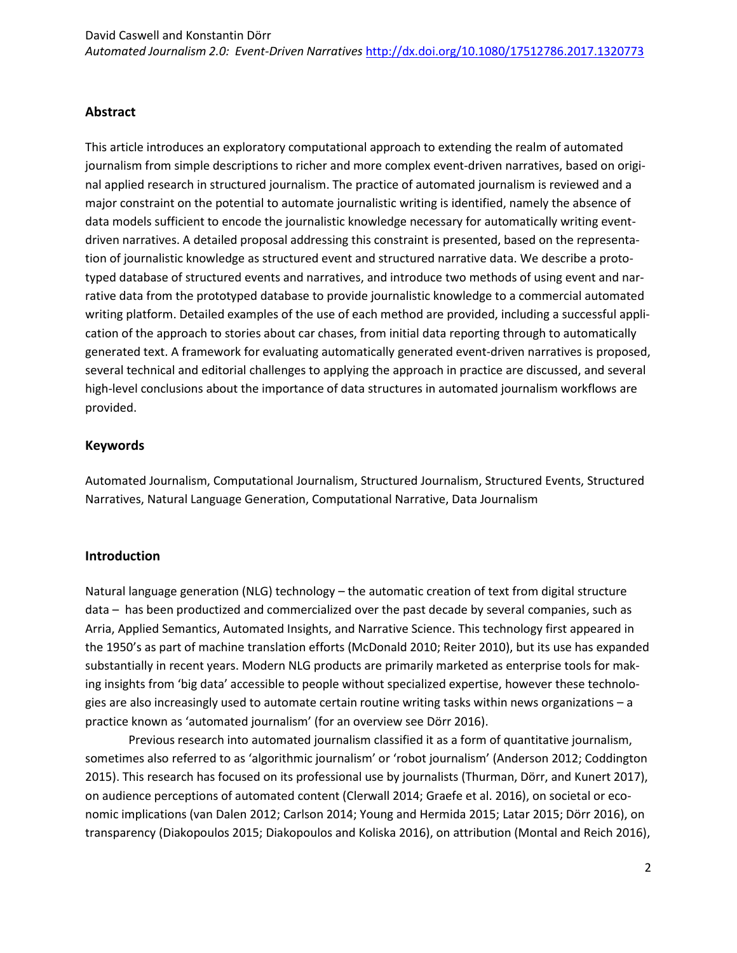### **Abstract**

This article introduces an exploratory computational approach to extending the realm of automated journalism from simple descriptions to richer and more complex event-driven narratives, based on original applied research in structured journalism. The practice of automated journalism is reviewed and a major constraint on the potential to automate journalistic writing is identified, namely the absence of data models sufficient to encode the journalistic knowledge necessary for automatically writing eventdriven narratives. A detailed proposal addressing this constraint is presented, based on the representation of journalistic knowledge as structured event and structured narrative data. We describe a prototyped database of structured events and narratives, and introduce two methods of using event and narrative data from the prototyped database to provide journalistic knowledge to a commercial automated writing platform. Detailed examples of the use of each method are provided, including a successful application of the approach to stories about car chases, from initial data reporting through to automatically generated text. A framework for evaluating automatically generated event-driven narratives is proposed, several technical and editorial challenges to applying the approach in practice are discussed, and several high-level conclusions about the importance of data structures in automated journalism workflows are provided.

### **Keywords**

Automated Journalism, Computational Journalism, Structured Journalism, Structured Events, Structured Narratives, Natural Language Generation, Computational Narrative, Data Journalism

# **Introduction**

Natural language generation (NLG) technology – the automatic creation of text from digital structure data – has been productized and commercialized over the past decade by several companies, such as Arria, Applied Semantics, Automated Insights, and Narrative Science. This technology first appeared in the 1950's as part of machine translation efforts (McDonald 2010; Reiter 2010), but its use has expanded substantially in recent years. Modern NLG products are primarily marketed as enterprise tools for making insights from 'big data' accessible to people without specialized expertise, however these technologies are also increasingly used to automate certain routine writing tasks within news organizations – a practice known as 'automated journalism' (for an overview see Dörr 2016).

 Previous research into automated journalism classified it as a form of quantitative journalism, sometimes also referred to as 'algorithmic journalism' or 'robot journalism' (Anderson 2012; Coddington 2015). This research has focused on its professional use by journalists (Thurman, Dörr, and Kunert 2017), on audience perceptions of automated content (Clerwall 2014; Graefe et al. 2016), on societal or economic implications (van Dalen 2012; Carlson 2014; Young and Hermida 2015; Latar 2015; Dörr 2016), on transparency (Diakopoulos 2015; Diakopoulos and Koliska 2016), on attribution (Montal and Reich 2016),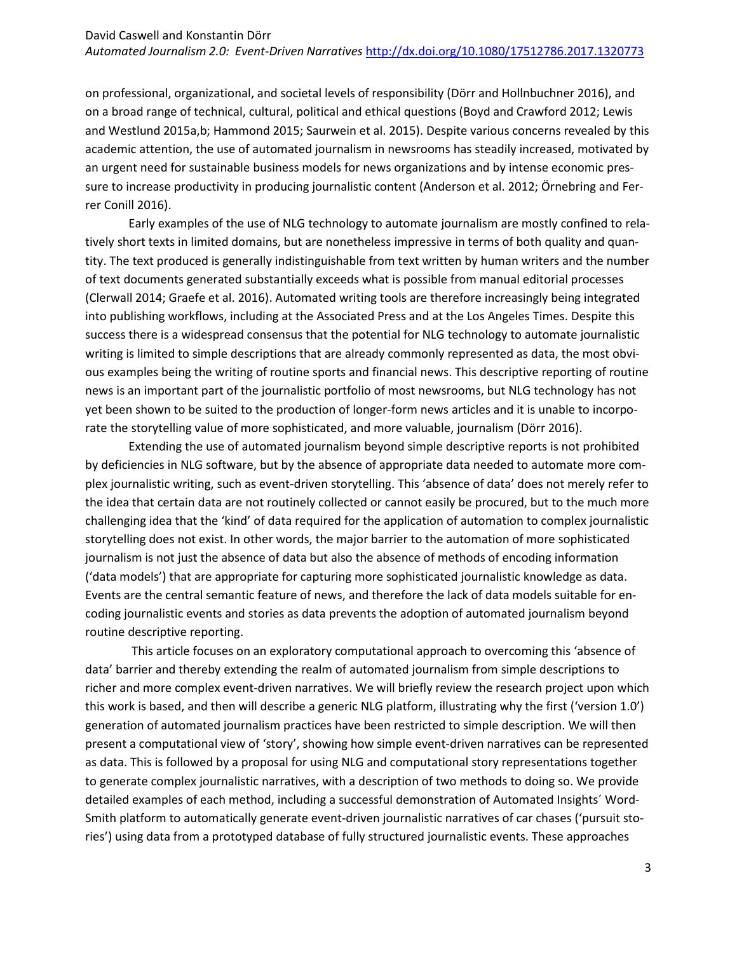on professional, organizational, and societal levels of responsibility (Dörr and Hollnbuchner 2016), and on a broad range of technical, cultural, political and ethical questions (Boyd and Crawford 2012; Lewis and Westlund 2015a,b; Hammond 2015; Saurwein et al. 2015). Despite various concerns revealed by this academic attention, the use of automated journalism in newsrooms has steadily increased, motivated by an urgent need for sustainable business models for news organizations and by intense economic pressure to increase productivity in producing journalistic content (Anderson et al. 2012; Örnebring and Ferrer Conill 2016).

 Early examples of the use of NLG technology to automate journalism are mostly confined to relatively short texts in limited domains, but are nonetheless impressive in terms of both quality and quantity. The text produced is generally indistinguishable from text written by human writers and the number of text documents generated substantially exceeds what is possible from manual editorial processes (Clerwall 2014; Graefe et al. 2016). Automated writing tools are therefore increasingly being integrated into publishing workflows, including at the Associated Press and at the Los Angeles Times. Despite this success there is a widespread consensus that the potential for NLG technology to automate journalistic writing is limited to simple descriptions that are already commonly represented as data, the most obvious examples being the writing of routine sports and financial news. This descriptive reporting of routine news is an important part of the journalistic portfolio of most newsrooms, but NLG technology has not yet been shown to be suited to the production of longer-form news articles and it is unable to incorporate the storytelling value of more sophisticated, and more valuable, journalism (Dörr 2016).

 Extending the use of automated journalism beyond simple descriptive reports is not prohibited by deficiencies in NLG software, but by the absence of appropriate data needed to automate more complex journalistic writing, such as event-driven storytelling. This 'absence of data' does not merely refer to the idea that certain data are not routinely collected or cannot easily be procured, but to the much more challenging idea that the 'kind' of data required for the application of automation to complex journalistic storytelling does not exist. In other words, the major barrier to the automation of more sophisticated journalism is not just the absence of data but also the absence of methods of encoding information ('data models') that are appropriate for capturing more sophisticated journalistic knowledge as data. Events are the central semantic feature of news, and therefore the lack of data models suitable for encoding journalistic events and stories as data prevents the adoption of automated journalism beyond routine descriptive reporting.

 This article focuses on an exploratory computational approach to overcoming this 'absence of data' barrier and thereby extending the realm of automated journalism from simple descriptions to richer and more complex event-driven narratives. We will briefly review the research project upon which this work is based, and then will describe a generic NLG platform, illustrating why the first ('version 1.0') generation of automated journalism practices have been restricted to simple description. We will then present a computational view of 'story', showing how simple event-driven narratives can be represented as data. This is followed by a proposal for using NLG and computational story representations together to generate complex journalistic narratives, with a description of two methods to doing so. We provide detailed examples of each method, including a successful demonstration of Automated Insights´ Word-Smith platform to automatically generate event-driven journalistic narratives of car chases ('pursuit stories') using data from a prototyped database of fully structured journalistic events. These approaches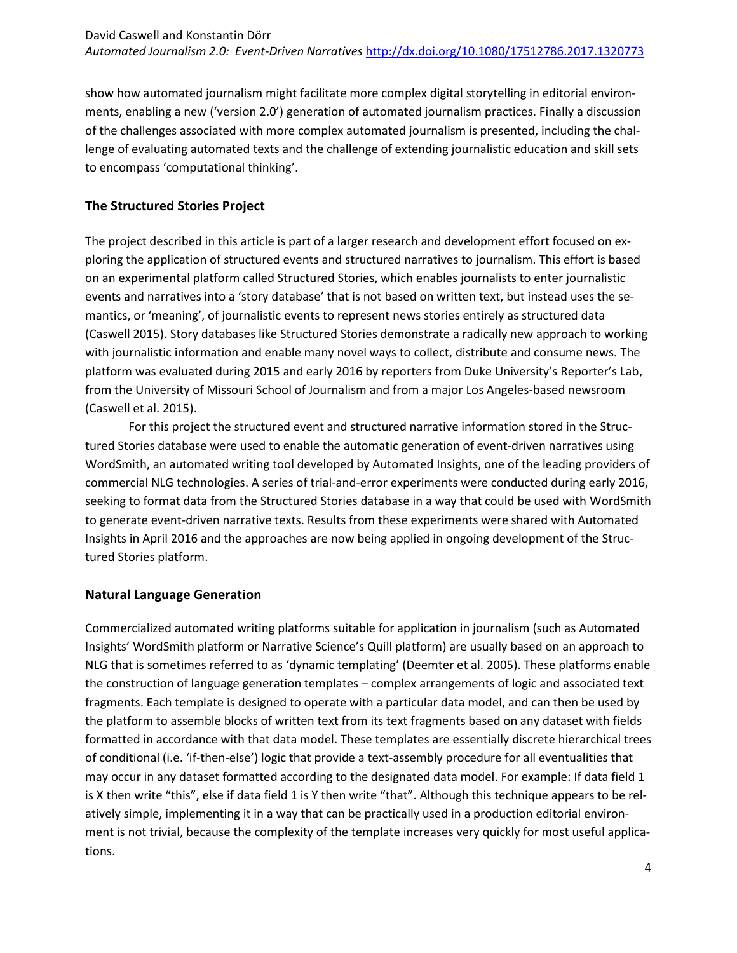show how automated journalism might facilitate more complex digital storytelling in editorial environments, enabling a new ('version 2.0') generation of automated journalism practices. Finally a discussion of the challenges associated with more complex automated journalism is presented, including the challenge of evaluating automated texts and the challenge of extending journalistic education and skill sets to encompass 'computational thinking'.

# **The Structured Stories Project**

The project described in this article is part of a larger research and development effort focused on exploring the application of structured events and structured narratives to journalism. This effort is based on an experimental platform called Structured Stories, which enables journalists to enter journalistic events and narratives into a 'story database' that is not based on written text, but instead uses the semantics, or 'meaning', of journalistic events to represent news stories entirely as structured data (Caswell 2015). Story databases like Structured Stories demonstrate a radically new approach to working with journalistic information and enable many novel ways to collect, distribute and consume news. The platform was evaluated during 2015 and early 2016 by reporters from Duke University's Reporter's Lab, from the University of Missouri School of Journalism and from a major Los Angeles-based newsroom (Caswell et al. 2015).

 For this project the structured event and structured narrative information stored in the Structured Stories database were used to enable the automatic generation of event-driven narratives using WordSmith, an automated writing tool developed by Automated Insights, one of the leading providers of commercial NLG technologies. A series of trial-and-error experiments were conducted during early 2016, seeking to format data from the Structured Stories database in a way that could be used with WordSmith to generate event-driven narrative texts. Results from these experiments were shared with Automated Insights in April 2016 and the approaches are now being applied in ongoing development of the Structured Stories platform.

# **Natural Language Generation**

Commercialized automated writing platforms suitable for application in journalism (such as Automated Insights' WordSmith platform or Narrative Science's Quill platform) are usually based on an approach to NLG that is sometimes referred to as 'dynamic templating' (Deemter et al. 2005). These platforms enable the construction of language generation templates – complex arrangements of logic and associated text fragments. Each template is designed to operate with a particular data model, and can then be used by the platform to assemble blocks of written text from its text fragments based on any dataset with fields formatted in accordance with that data model. These templates are essentially discrete hierarchical trees of conditional (i.e. 'if-then-else') logic that provide a text-assembly procedure for all eventualities that may occur in any dataset formatted according to the designated data model. For example: If data field 1 is X then write "this", else if data field 1 is Y then write "that". Although this technique appears to be relatively simple, implementing it in a way that can be practically used in a production editorial environment is not trivial, because the complexity of the template increases very quickly for most useful applications.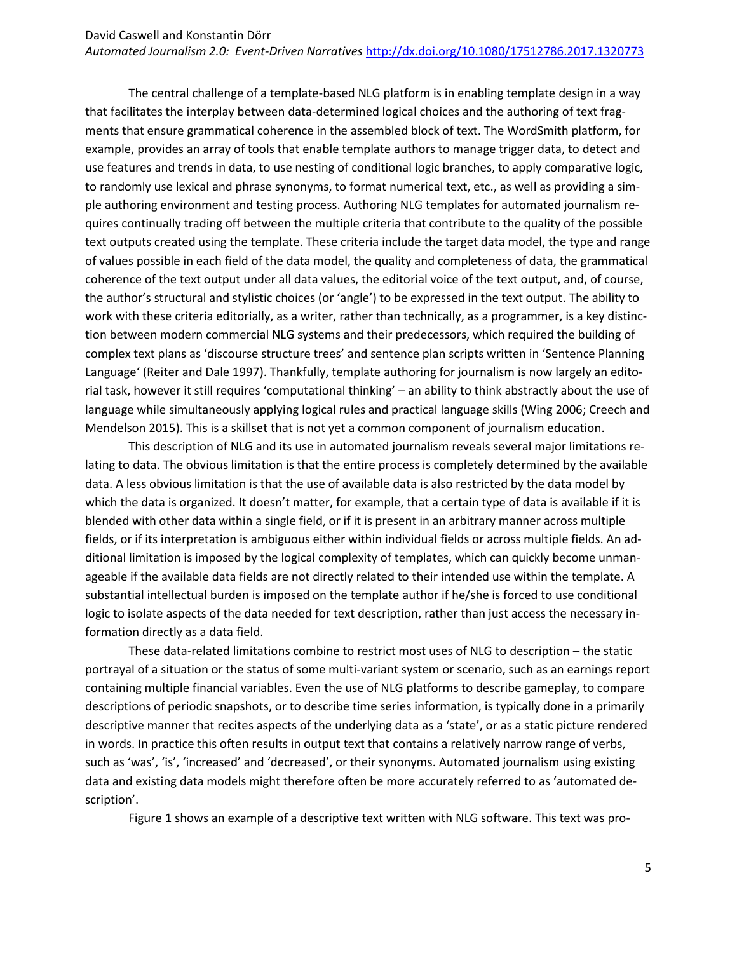#### David Caswell and Konstantin Dörr

*Automated Journalism 2.0: EventDriven Narratives* <http://dx.doi.org/10.1080/17512786.2017.1320773>

The central challenge of a template-based NLG platform is in enabling template design in a way that facilitates the interplay between data-determined logical choices and the authoring of text fragments that ensure grammatical coherence in the assembled block of text. The WordSmith platform, for example, provides an array of tools that enable template authors to manage trigger data, to detect and use features and trends in data, to use nesting of conditional logic branches, to apply comparative logic, to randomly use lexical and phrase synonyms, to format numerical text, etc., as well as providing a simple authoring environment and testing process. Authoring NLG templates for automated journalism requires continually trading off between the multiple criteria that contribute to the quality of the possible text outputs created using the template. These criteria include the target data model, the type and range of values possible in each field of the data model, the quality and completeness of data, the grammatical coherence of the text output under all data values, the editorial voice of the text output, and, of course, the author's structural and stylistic choices (or 'angle') to be expressed in the text output. The ability to work with these criteria editorially, as a writer, rather than technically, as a programmer, is a key distinction between modern commercial NLG systems and their predecessors, which required the building of complex text plans as 'discourse structure trees' and sentence plan scripts written in 'Sentence Planning Language' (Reiter and Dale 1997). Thankfully, template authoring for journalism is now largely an editorial task, however it still requires 'computational thinking' – an ability to think abstractly about the use of language while simultaneously applying logical rules and practical language skills (Wing 2006; Creech and Mendelson 2015). This is a skillset that is not yet a common component of journalism education.

 This description of NLG and its use in automated journalism reveals several major limitations relating to data. The obvious limitation is that the entire process is completely determined by the available data. A less obvious limitation is that the use of available data is also restricted by the data model by which the data is organized. It doesn't matter, for example, that a certain type of data is available if it is blended with other data within a single field, or if it is present in an arbitrary manner across multiple fields, or if its interpretation is ambiguous either within individual fields or across multiple fields. An additional limitation is imposed by the logical complexity of templates, which can quickly become unmanageable if the available data fields are not directly related to their intended use within the template. A substantial intellectual burden is imposed on the template author if he/she is forced to use conditional logic to isolate aspects of the data needed for text description, rather than just access the necessary information directly as a data field.

 These data-related limitations combine to restrict most uses of NLG to description – the static portrayal of a situation or the status of some multi-variant system or scenario, such as an earnings report containing multiple financial variables. Even the use of NLG platforms to describe gameplay, to compare descriptions of periodic snapshots, or to describe time series information, is typically done in a primarily descriptive manner that recites aspects of the underlying data as a 'state', or as a static picture rendered in words. In practice this often results in output text that contains a relatively narrow range of verbs, such as 'was', 'is', 'increased' and 'decreased', or their synonyms. Automated journalism using existing data and existing data models might therefore often be more accurately referred to as 'automated description'.

Figure 1 shows an example of a descriptive text written with NLG software. This text was pro-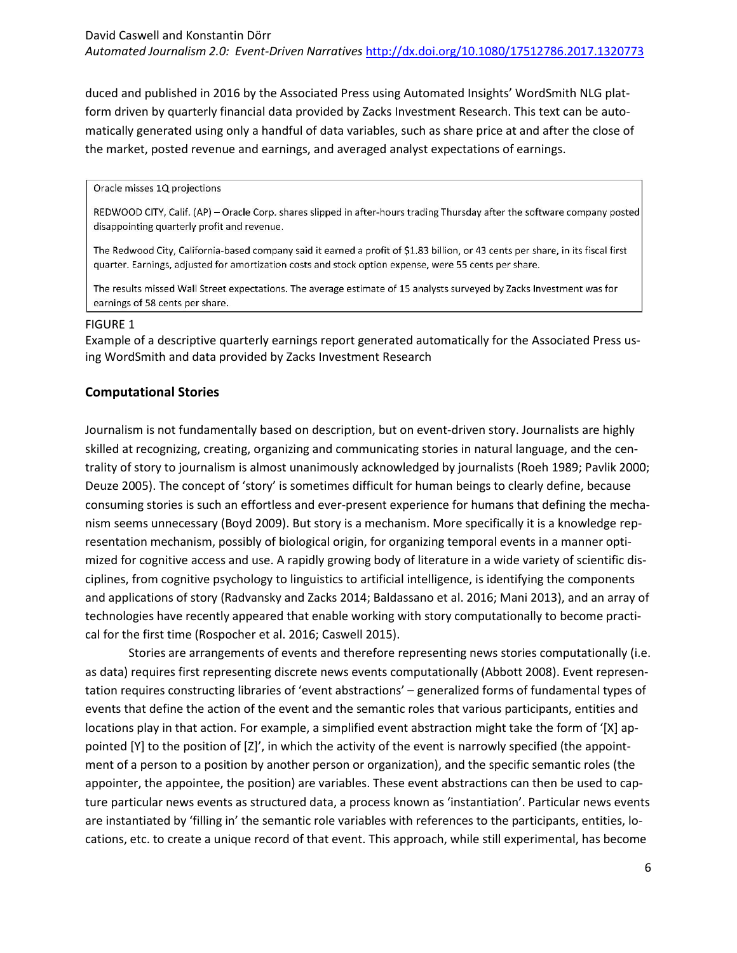duced and published in 2016 by the Associated Press using Automated Insights' WordSmith NLG platform driven by quarterly financial data provided by Zacks Investment Research. This text can be automatically generated using only a handful of data variables, such as share price at and after the close of the market, posted revenue and earnings, and averaged analyst expectations of earnings.

#### Oracle misses 1Q projections

REDWOOD CITY, Calif. (AP) - Oracle Corp. shares slipped in after-hours trading Thursday after the software company posted disappointing quarterly profit and revenue.

The Redwood City, California-based company said it earned a profit of \$1.83 billion, or 43 cents per share, in its fiscal first quarter. Earnings, adjusted for amortization costs and stock option expense, were 55 cents per share.

The results missed Wall Street expectations. The average estimate of 15 analysts surveyed by Zacks Investment was for earnings of 58 cents per share.

#### FIGURE 1

Example of a descriptive quarterly earnings report generated automatically for the Associated Press using WordSmith and data provided by Zacks Investment Research

### **Computational Stories**

Journalism is not fundamentally based on description, but on event-driven story. Journalists are highly skilled at recognizing, creating, organizing and communicating stories in natural language, and the centrality of story to journalism is almost unanimously acknowledged by journalists (Roeh 1989; Pavlik 2000; Deuze 2005). The concept of 'story' is sometimes difficult for human beings to clearly define, because consuming stories is such an effortless and ever-present experience for humans that defining the mechanism seems unnecessary (Boyd 2009). But story is a mechanism. More specifically it is a knowledge representation mechanism, possibly of biological origin, for organizing temporal events in a manner optimized for cognitive access and use. A rapidly growing body of literature in a wide variety of scientific disciplines, from cognitive psychology to linguistics to artificial intelligence, is identifying the components and applications of story (Radvansky and Zacks 2014; Baldassano et al. 2016; Mani 2013), and an array of technologies have recently appeared that enable working with story computationally to become practical for the first time (Rospocher et al. 2016; Caswell 2015).

 Stories are arrangements of events and therefore representing news stories computationally (i.e. as data) requires first representing discrete news events computationally (Abbott 2008). Event representation requires constructing libraries of 'event abstractions' – generalized forms of fundamental types of events that define the action of the event and the semantic roles that various participants, entities and locations play in that action. For example, a simplified event abstraction might take the form of '[X] appointed [Y] to the position of [Z]', in which the activity of the event is narrowly specified (the appointment of a person to a position by another person or organization), and the specific semantic roles (the appointer, the appointee, the position) are variables. These event abstractions can then be used to capture particular news events as structured data, a process known as 'instantiation'. Particular news events are instantiated by 'filling in' the semantic role variables with references to the participants, entities, locations, etc. to create a unique record of that event. This approach, while still experimental, has become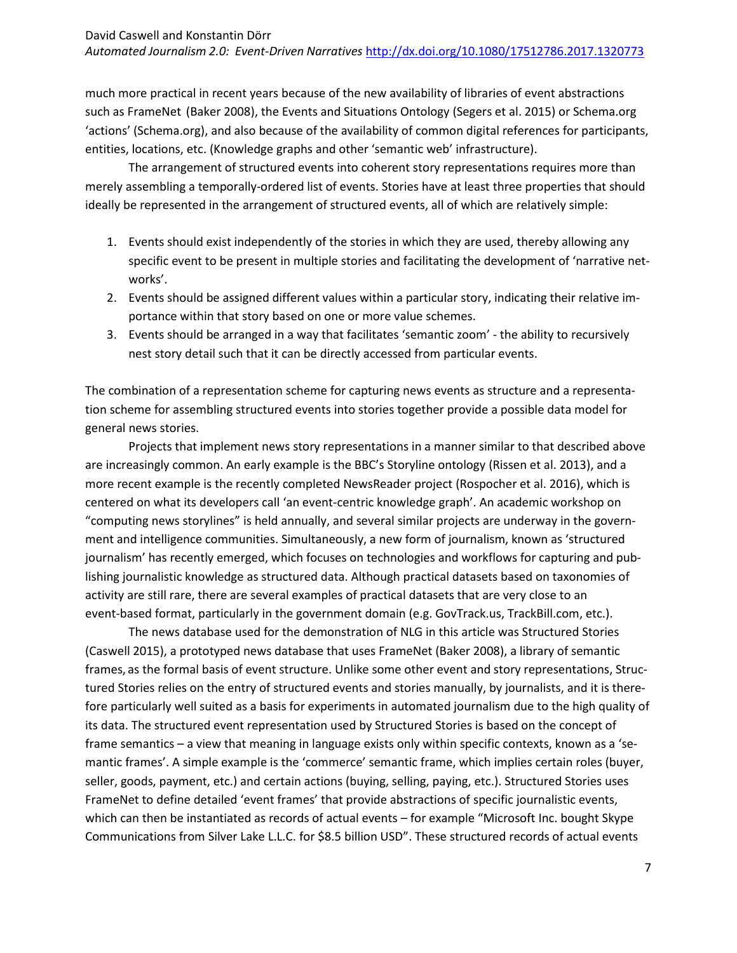much more practical in recent years because of the new availability of libraries of event abstractions such as FrameNet (Baker 2008), the Events and Situations Ontology (Segers et al. 2015) or Schema.org 'actions' (Schema.org), and also because of the availability of common digital references for participants, entities, locations, etc. (Knowledge graphs and other 'semantic web' infrastructure).

The arrangement of structured events into coherent story representations requires more than merely assembling a temporally-ordered list of events. Stories have at least three properties that should ideally be represented in the arrangement of structured events, all of which are relatively simple:

- 1. Events should exist independently of the stories in which they are used, thereby allowing any specific event to be present in multiple stories and facilitating the development of 'narrative networks'.
- 2. Events should be assigned different values within a particular story, indicating their relative importance within that story based on one or more value schemes.
- 3. Events should be arranged in a way that facilitates 'semantic zoom' the ability to recursively nest story detail such that it can be directly accessed from particular events.

The combination of a representation scheme for capturing news events as structure and a representation scheme for assembling structured events into stories together provide a possible data model for general news stories.

 Projects that implement news story representations in a manner similar to that described above are increasingly common. An early example is the BBC's Storyline ontology (Rissen et al. 2013), and a more recent example is the recently completed NewsReader project (Rospocher et al. 2016), which is centered on what its developers call 'an event-centric knowledge graph'. An academic workshop on "computing news storylines" is held annually, and several similar projects are underway in the government and intelligence communities. Simultaneously, a new form of journalism, known as 'structured journalism' has recently emerged, which focuses on technologies and workflows for capturing and publishing journalistic knowledge as structured data. Although practical datasets based on taxonomies of activity are still rare, there are several examples of practical datasets that are very close to an event-based format, particularly in the government domain (e.g. GovTrack.us, TrackBill.com, etc.).

The news database used for the demonstration of NLG in this article was Structured Stories (Caswell 2015), a prototyped news database that uses FrameNet (Baker 2008), a library of semantic frames, as the formal basis of event structure. Unlike some other event and story representations, Structured Stories relies on the entry of structured events and stories manually, by journalists, and it is therefore particularly well suited as a basis for experiments in automated journalism due to the high quality of its data. The structured event representation used by Structured Stories is based on the concept of frame semantics – a view that meaning in language exists only within specific contexts, known as a 'semantic frames'. A simple example is the 'commerce' semantic frame, which implies certain roles (buyer, seller, goods, payment, etc.) and certain actions (buying, selling, paying, etc.). Structured Stories uses FrameNet to define detailed 'event frames' that provide abstractions of specific journalistic events, which can then be instantiated as records of actual events – for example "Microsoft Inc. bought Skype Communications from Silver Lake L.L.C. for \$8.5 billion USD". These structured records of actual events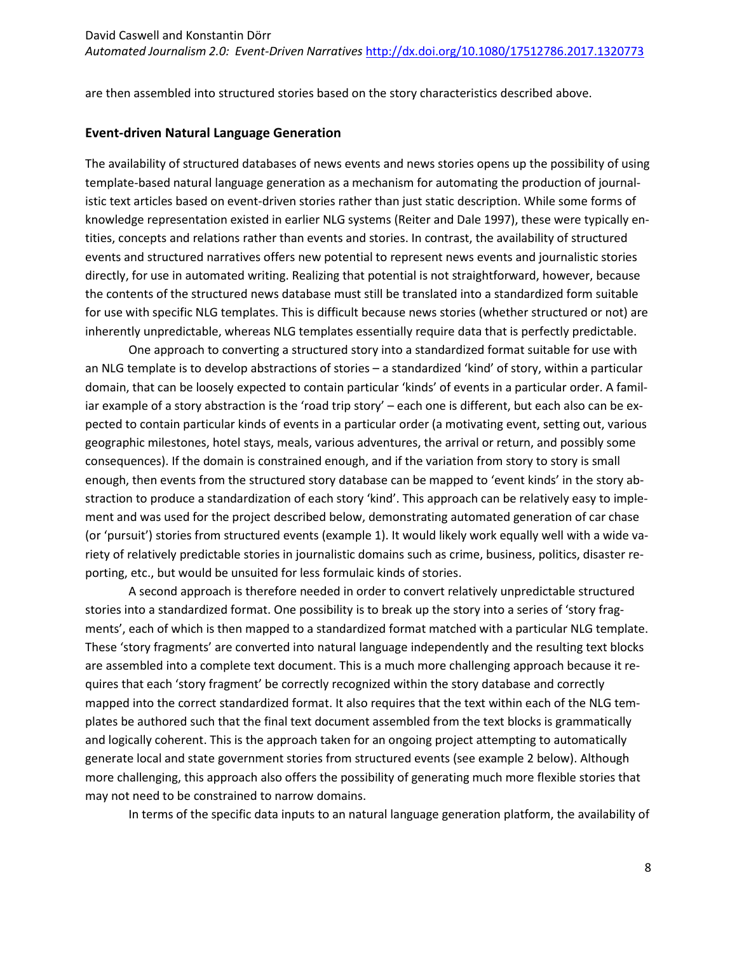are then assembled into structured stories based on the story characteristics described above.

#### **Event-driven Natural Language Generation**

The availability of structured databases of news events and news stories opens up the possibility of using template-based natural language generation as a mechanism for automating the production of journalistic text articles based on event-driven stories rather than just static description. While some forms of knowledge representation existed in earlier NLG systems (Reiter and Dale 1997), these were typically entities, concepts and relations rather than events and stories. In contrast, the availability of structured events and structured narratives offers new potential to represent news events and journalistic stories directly, for use in automated writing. Realizing that potential is not straightforward, however, because the contents of the structured news database must still be translated into a standardized form suitable for use with specific NLG templates. This is difficult because news stories (whether structured or not) are inherently unpredictable, whereas NLG templates essentially require data that is perfectly predictable.

One approach to converting a structured story into a standardized format suitable for use with an NLG template is to develop abstractions of stories – a standardized 'kind' of story, within a particular domain, that can be loosely expected to contain particular 'kinds' of events in a particular order. A familiar example of a story abstraction is the 'road trip story' – each one is different, but each also can be expected to contain particular kinds of events in a particular order (a motivating event, setting out, various geographic milestones, hotel stays, meals, various adventures, the arrival or return, and possibly some consequences). If the domain is constrained enough, and if the variation from story to story is small enough, then events from the structured story database can be mapped to 'event kinds' in the story abstraction to produce a standardization of each story 'kind'. This approach can be relatively easy to implement and was used for the project described below, demonstrating automated generation of car chase (or 'pursuit') stories from structured events (example 1). It would likely work equally well with a wide variety of relatively predictable stories in journalistic domains such as crime, business, politics, disaster reporting, etc., but would be unsuited for less formulaic kinds of stories.

 A second approach is therefore needed in order to convert relatively unpredictable structured stories into a standardized format. One possibility is to break up the story into a series of 'story fragments', each of which is then mapped to a standardized format matched with a particular NLG template. These 'story fragments' are converted into natural language independently and the resulting text blocks are assembled into a complete text document. This is a much more challenging approach because it requires that each 'story fragment' be correctly recognized within the story database and correctly mapped into the correct standardized format. It also requires that the text within each of the NLG templates be authored such that the final text document assembled from the text blocks is grammatically and logically coherent. This is the approach taken for an ongoing project attempting to automatically generate local and state government stories from structured events (see example 2 below). Although more challenging, this approach also offers the possibility of generating much more flexible stories that may not need to be constrained to narrow domains.

In terms of the specific data inputs to an natural language generation platform, the availability of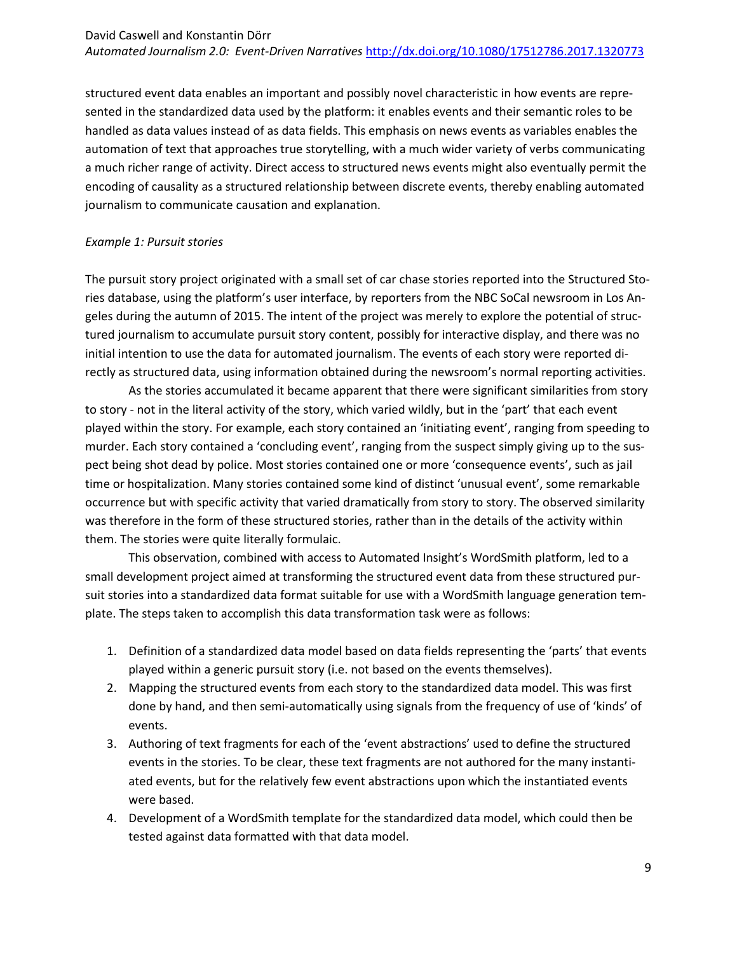#### David Caswell and Konstantin Dörr

*Automated Journalism 2.0: EventDriven Narratives* <http://dx.doi.org/10.1080/17512786.2017.1320773>

structured event data enables an important and possibly novel characteristic in how events are represented in the standardized data used by the platform: it enables events and their semantic roles to be handled as data values instead of as data fields. This emphasis on news events as variables enables the automation of text that approaches true storytelling, with a much wider variety of verbs communicating a much richer range of activity. Direct access to structured news events might also eventually permit the encoding of causality as a structured relationship between discrete events, thereby enabling automated journalism to communicate causation and explanation.

#### *Example 1: Pursuit stories*

The pursuit story project originated with a small set of car chase stories reported into the Structured Stories database, using the platform's user interface, by reporters from the NBC SoCal newsroom in Los Angeles during the autumn of 2015. The intent of the project was merely to explore the potential of structured journalism to accumulate pursuit story content, possibly for interactive display, and there was no initial intention to use the data for automated journalism. The events of each story were reported directly as structured data, using information obtained during the newsroom's normal reporting activities.

 As the stories accumulated it became apparent that there were significant similarities from story to story - not in the literal activity of the story, which varied wildly, but in the 'part' that each event played within the story. For example, each story contained an 'initiating event', ranging from speeding to murder. Each story contained a 'concluding event', ranging from the suspect simply giving up to the suspect being shot dead by police. Most stories contained one or more 'consequence events', such as jail time or hospitalization. Many stories contained some kind of distinct 'unusual event', some remarkable occurrence but with specific activity that varied dramatically from story to story. The observed similarity was therefore in the form of these structured stories, rather than in the details of the activity within them. The stories were quite literally formulaic.

 This observation, combined with access to Automated Insight's WordSmith platform, led to a small development project aimed at transforming the structured event data from these structured pursuit stories into a standardized data format suitable for use with a WordSmith language generation template. The steps taken to accomplish this data transformation task were as follows:

- 1. Definition of a standardized data model based on data fields representing the 'parts' that events played within a generic pursuit story (i.e. not based on the events themselves).
- 2. Mapping the structured events from each story to the standardized data model. This was first done by hand, and then semi-automatically using signals from the frequency of use of 'kinds' of events.
- 3. Authoring of text fragments for each of the 'event abstractions' used to define the structured events in the stories. To be clear, these text fragments are not authored for the many instantiated events, but for the relatively few event abstractions upon which the instantiated events were based.
- 4. Development of a WordSmith template for the standardized data model, which could then be tested against data formatted with that data model.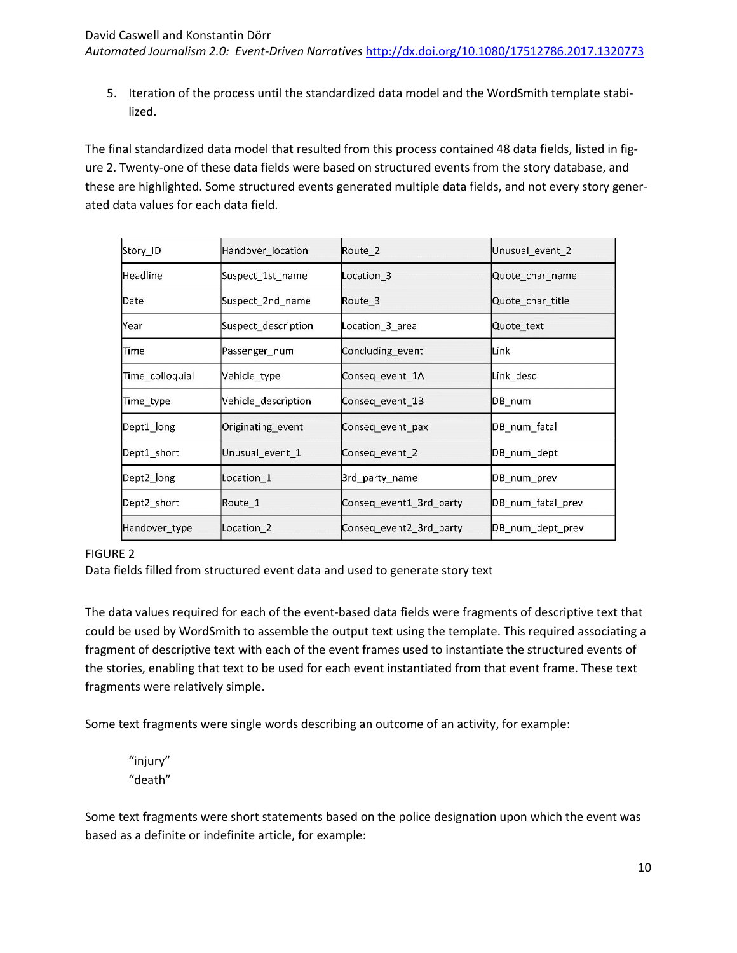### David Caswell and Konstantin Dörr

*Automated Journalism 2.0: EventDriven Narratives* <http://dx.doi.org/10.1080/17512786.2017.1320773>

5. Iteration of the process until the standardized data model and the WordSmith template stabilized.

The final standardized data model that resulted from this process contained 48 data fields, listed in figure 2. Twenty-one of these data fields were based on structured events from the story database, and these are highlighted. Some structured events generated multiple data fields, and not every story generated data values for each data field.

| Story ID        | Handover location   | Route 2                 | Unusual event 2   |
|-----------------|---------------------|-------------------------|-------------------|
| Headline        | Suspect 1st name    | Location 3              | Quote char name   |
| Date            | Suspect 2nd name    | Route 3                 | Quote char title  |
| Year            | Suspect_description | Location_3_area         | Quote text        |
| Time            | Passenger_num       | Concluding event        | Link              |
| Time_colloquial | Vehicle type        | Conseq event 1A         | Link_desc         |
| Time_type       | Vehicle_description | Conseq_event_1B         | DB_num            |
| Dept1 long      | Originating event   | Conseq event pax        | DB num fatal      |
| Dept1 short     | Unusual event 1     | Conseq event 2          | DB num dept       |
| Dept2_long      | Location 1          | 3rd_party_name          | DB num prev       |
| Dept2_short     | Route 1             | Conseq_event1_3rd_party | DB_num_fatal_prev |
| Handover type   | Location 2          | Conseq event2 3rd party | DB num dept prev  |

### FIGURE 2

Data fields filled from structured event data and used to generate story text

The data values required for each of the event-based data fields were fragments of descriptive text that could be used by WordSmith to assemble the output text using the template. This required associating a fragment of descriptive text with each of the event frames used to instantiate the structured events of the stories, enabling that text to be used for each event instantiated from that event frame. These text fragments were relatively simple.

Some text fragments were single words describing an outcome of an activity, for example:

"injury" "death"

Some text fragments were short statements based on the police designation upon which the event was based as a definite or indefinite article, for example: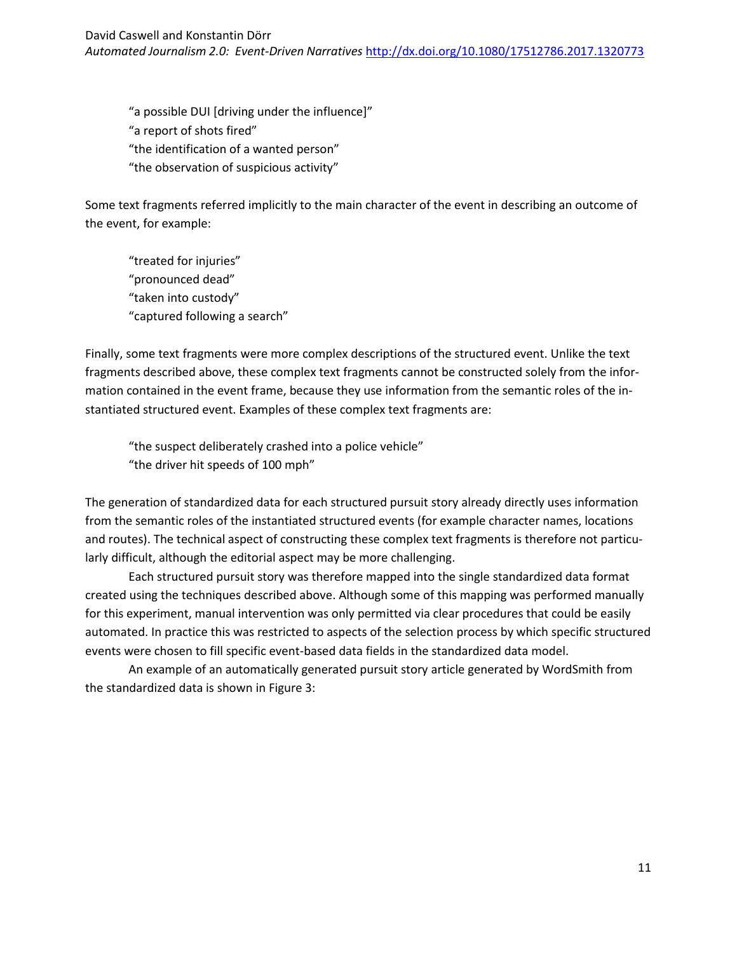"a possible DUI [driving under the influence]" "a report of shots fired" "the identification of a wanted person" "the observation of suspicious activity"

Some text fragments referred implicitly to the main character of the event in describing an outcome of the event, for example:

"treated for injuries" "pronounced dead" "taken into custody" "captured following a search"

Finally, some text fragments were more complex descriptions of the structured event. Unlike the text fragments described above, these complex text fragments cannot be constructed solely from the information contained in the event frame, because they use information from the semantic roles of the instantiated structured event. Examples of these complex text fragments are:

"the suspect deliberately crashed into a police vehicle" "the driver hit speeds of 100 mph"

The generation of standardized data for each structured pursuit story already directly uses information from the semantic roles of the instantiated structured events (for example character names, locations and routes). The technical aspect of constructing these complex text fragments is therefore not particularly difficult, although the editorial aspect may be more challenging.

 Each structured pursuit story was therefore mapped into the single standardized data format created using the techniques described above. Although some of this mapping was performed manually for this experiment, manual intervention was only permitted via clear procedures that could be easily automated. In practice this was restricted to aspects of the selection process by which specific structured events were chosen to fill specific event-based data fields in the standardized data model.

 An example of an automatically generated pursuit story article generated by WordSmith from the standardized data is shown in Figure 3: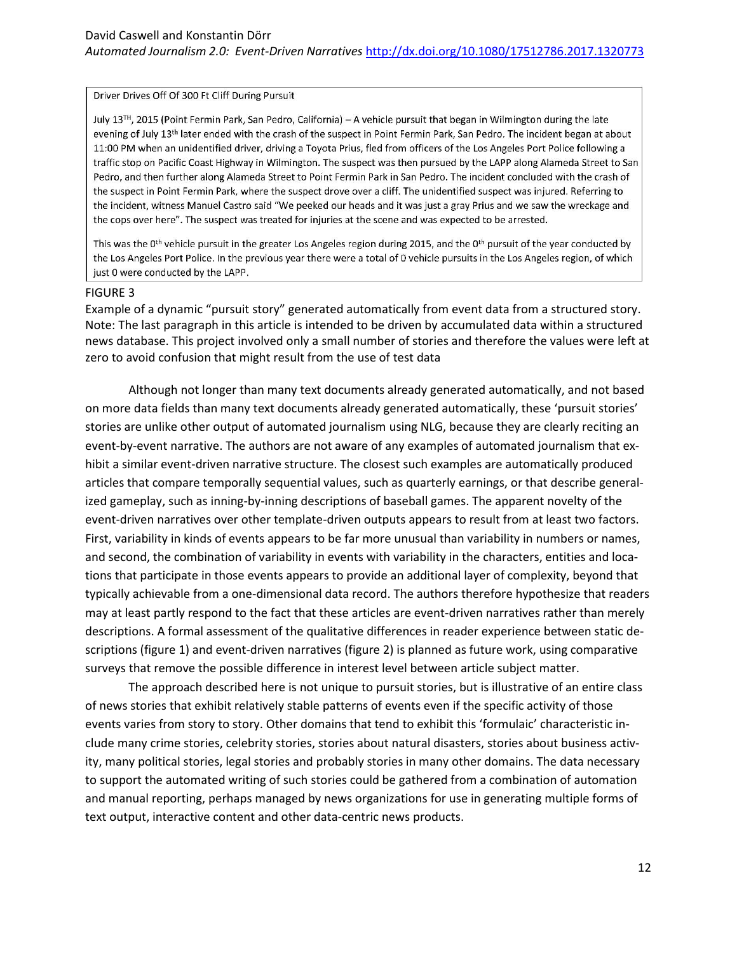#### Driver Drives Off Of 300 Ft Cliff During Pursuit

July 13<sup>TH</sup>, 2015 (Point Fermin Park, San Pedro, California) - A vehicle pursuit that began in Wilmington during the late evening of July 13<sup>th</sup> later ended with the crash of the suspect in Point Fermin Park, San Pedro. The incident began at about 11:00 PM when an unidentified driver, driving a Toyota Prius, fled from officers of the Los Angeles Port Police following a traffic stop on Pacific Coast Highway in Wilmington. The suspect was then pursued by the LAPP along Alameda Street to San Pedro, and then further along Alameda Street to Point Fermin Park in San Pedro. The incident concluded with the crash of the suspect in Point Fermin Park, where the suspect drove over a cliff. The unidentified suspect was injured. Referring to the incident, witness Manuel Castro said "We peeked our heads and it was just a gray Prius and we saw the wreckage and the cops over here". The suspect was treated for injuries at the scene and was expected to be arrested.

This was the 0<sup>th</sup> vehicle pursuit in the greater Los Angeles region during 2015, and the 0<sup>th</sup> pursuit of the year conducted by the Los Angeles Port Police. In the previous year there were a total of 0 vehicle pursuits in the Los Angeles region, of which just 0 were conducted by the LAPP.

#### FIGURE 3

Example of a dynamic "pursuit story" generated automatically from event data from a structured story. Note: The last paragraph in this article is intended to be driven by accumulated data within a structured news database. This project involved only a small number of stories and therefore the values were left at zero to avoid confusion that might result from the use of test data

 Although not longer than many text documents already generated automatically, and not based on more data fields than many text documents already generated automatically, these 'pursuit stories' stories are unlike other output of automated journalism using NLG, because they are clearly reciting an event-by-event narrative. The authors are not aware of any examples of automated journalism that exhibit a similar event-driven narrative structure. The closest such examples are automatically produced articles that compare temporally sequential values, such as quarterly earnings, or that describe generalized gameplay, such as inning-by-inning descriptions of baseball games. The apparent novelty of the event-driven narratives over other template-driven outputs appears to result from at least two factors. First, variability in kinds of events appears to be far more unusual than variability in numbers or names, and second, the combination of variability in events with variability in the characters, entities and locations that participate in those events appears to provide an additional layer of complexity, beyond that typically achievable from a one-dimensional data record. The authors therefore hypothesize that readers may at least partly respond to the fact that these articles are event-driven narratives rather than merely descriptions. A formal assessment of the qualitative differences in reader experience between static descriptions (figure 1) and event-driven narratives (figure 2) is planned as future work, using comparative surveys that remove the possible difference in interest level between article subject matter.

The approach described here is not unique to pursuit stories, but is illustrative of an entire class of news stories that exhibit relatively stable patterns of events even if the specific activity of those events varies from story to story. Other domains that tend to exhibit this 'formulaic' characteristic include many crime stories, celebrity stories, stories about natural disasters, stories about business activity, many political stories, legal stories and probably stories in many other domains. The data necessary to support the automated writing of such stories could be gathered from a combination of automation and manual reporting, perhaps managed by news organizations for use in generating multiple forms of text output, interactive content and other data-centric news products.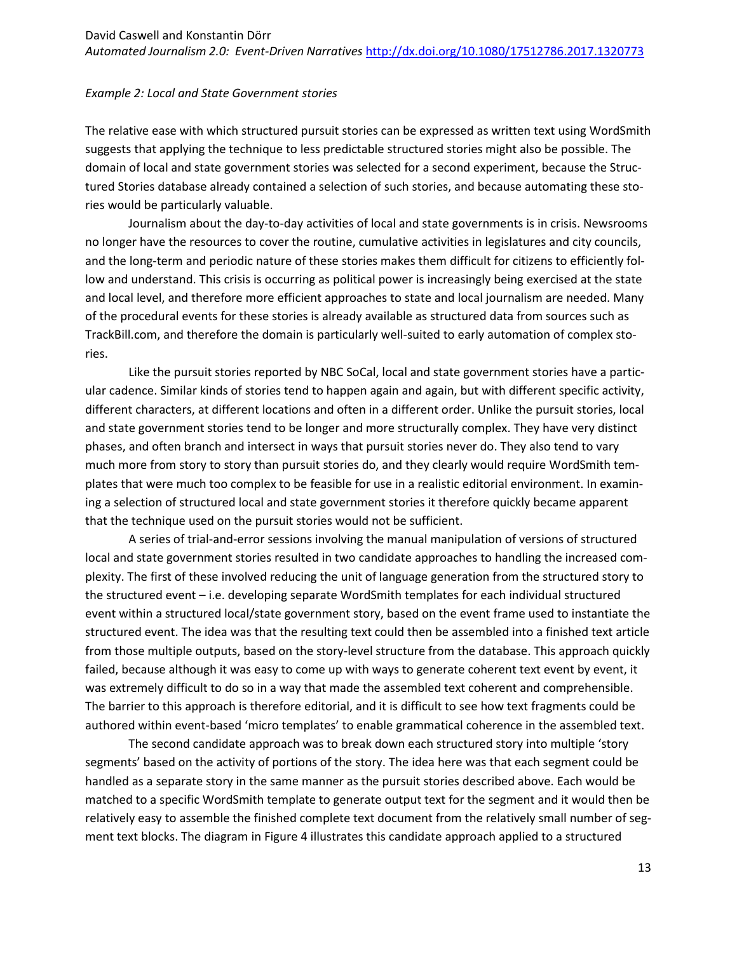### *Example 2: Local and State Government stories*

The relative ease with which structured pursuit stories can be expressed as written text using WordSmith suggests that applying the technique to less predictable structured stories might also be possible. The domain of local and state government stories was selected for a second experiment, because the Structured Stories database already contained a selection of such stories, and because automating these stories would be particularly valuable.

 Journalism about the day-to-day activities of local and state governments is in crisis. Newsrooms no longer have the resources to cover the routine, cumulative activities in legislatures and city councils, and the long-term and periodic nature of these stories makes them difficult for citizens to efficiently follow and understand. This crisis is occurring as political power is increasingly being exercised at the state and local level, and therefore more efficient approaches to state and local journalism are needed. Many of the procedural events for these stories is already available as structured data from sources such as TrackBill.com, and therefore the domain is particularly well-suited to early automation of complex stories.

 Like the pursuit stories reported by NBC SoCal, local and state government stories have a particular cadence. Similar kinds of stories tend to happen again and again, but with different specific activity, different characters, at different locations and often in a different order. Unlike the pursuit stories, local and state government stories tend to be longer and more structurally complex. They have very distinct phases, and often branch and intersect in ways that pursuit stories never do. They also tend to vary much more from story to story than pursuit stories do, and they clearly would require WordSmith templates that were much too complex to be feasible for use in a realistic editorial environment. In examining a selection of structured local and state government stories it therefore quickly became apparent that the technique used on the pursuit stories would not be sufficient.

 A series of trial-and-error sessions involving the manual manipulation of versions of structured local and state government stories resulted in two candidate approaches to handling the increased complexity. The first of these involved reducing the unit of language generation from the structured story to the structured event – i.e. developing separate WordSmith templates for each individual structured event within a structured local/state government story, based on the event frame used to instantiate the structured event. The idea was that the resulting text could then be assembled into a finished text article from those multiple outputs, based on the story-level structure from the database. This approach quickly failed, because although it was easy to come up with ways to generate coherent text event by event, it was extremely difficult to do so in a way that made the assembled text coherent and comprehensible. The barrier to this approach is therefore editorial, and it is difficult to see how text fragments could be authored within event-based 'micro templates' to enable grammatical coherence in the assembled text.

The second candidate approach was to break down each structured story into multiple 'story segments' based on the activity of portions of the story. The idea here was that each segment could be handled as a separate story in the same manner as the pursuit stories described above. Each would be matched to a specific WordSmith template to generate output text for the segment and it would then be relatively easy to assemble the finished complete text document from the relatively small number of segment text blocks. The diagram in Figure 4 illustrates this candidate approach applied to a structured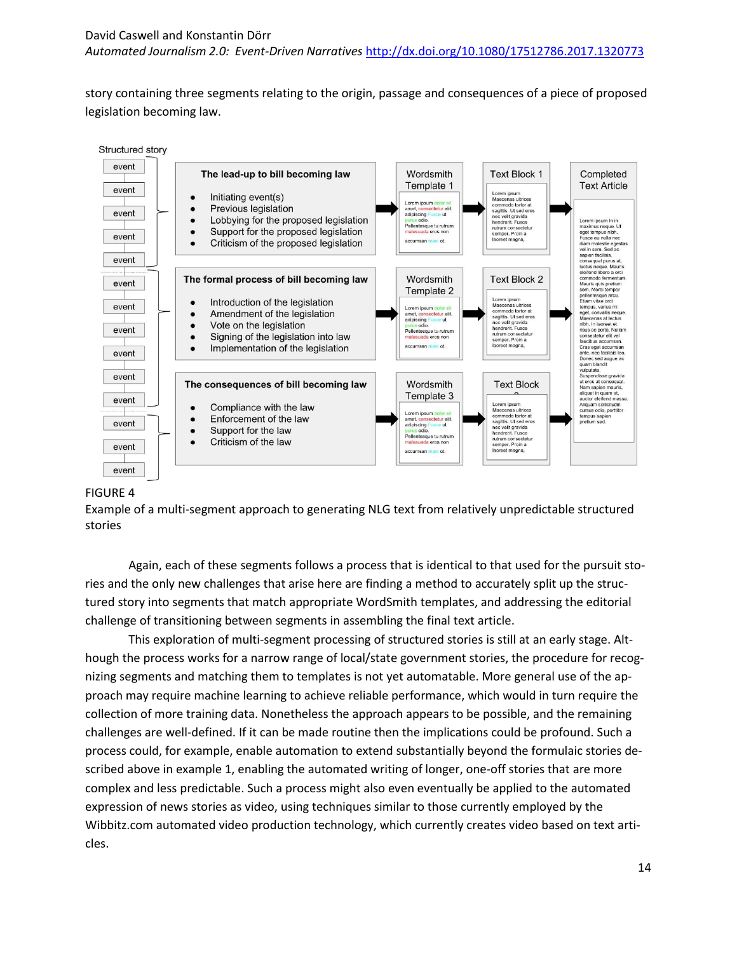story containing three segments relating to the origin, passage and consequences of a piece of proposed legislation becoming law.



### FIGURE 4

Example of a multi-segment approach to generating NLG text from relatively unpredictable structured stories

 Again, each of these segments follows a process that is identical to that used for the pursuit stories and the only new challenges that arise here are finding a method to accurately split up the structured story into segments that match appropriate WordSmith templates, and addressing the editorial challenge of transitioning between segments in assembling the final text article.

 This exploration of multi-segment processing of structured stories is still at an early stage. Although the process works for a narrow range of local/state government stories, the procedure for recognizing segments and matching them to templates is not yet automatable. More general use of the approach may require machine learning to achieve reliable performance, which would in turn require the collection of more training data. Nonetheless the approach appears to be possible, and the remaining challenges are well-defined. If it can be made routine then the implications could be profound. Such a process could, for example, enable automation to extend substantially beyond the formulaic stories described above in example 1, enabling the automated writing of longer, one-off stories that are more complex and less predictable. Such a process might also even eventually be applied to the automated expression of news stories as video, using techniques similar to those currently employed by the Wibbitz.com automated video production technology, which currently creates video based on text articles.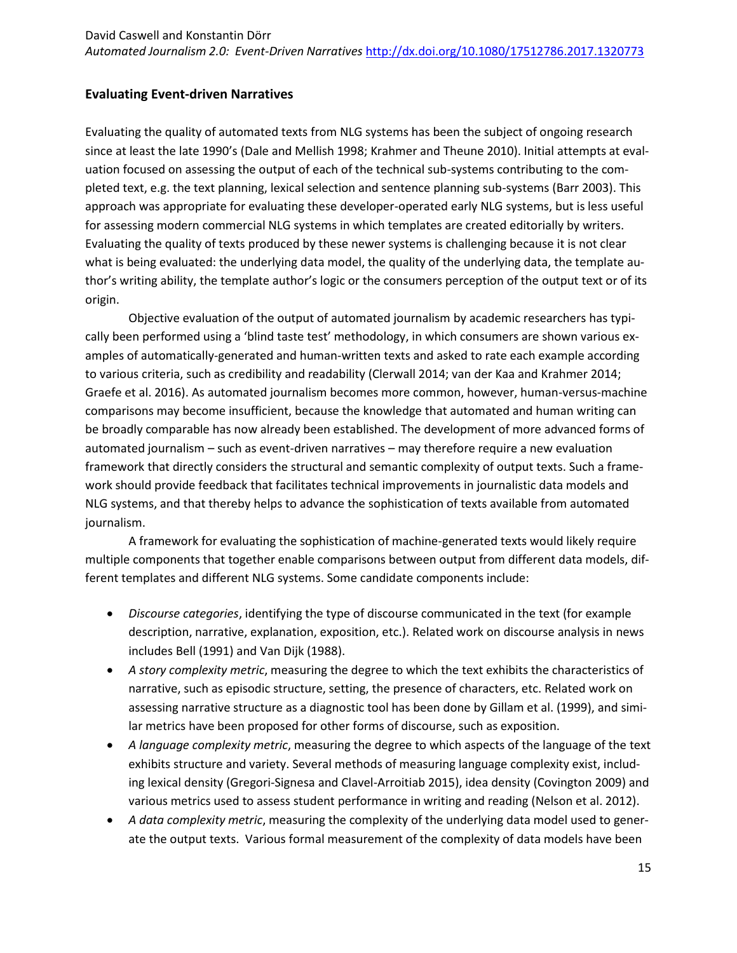### **Evaluating Event-driven Narratives**

Evaluating the quality of automated texts from NLG systems has been the subject of ongoing research since at least the late 1990's (Dale and Mellish 1998; Krahmer and Theune 2010). Initial attempts at evaluation focused on assessing the output of each of the technical sub-systems contributing to the completed text, e.g. the text planning, lexical selection and sentence planning sub-systems (Barr 2003). This approach was appropriate for evaluating these developer-operated early NLG systems, but is less useful for assessing modern commercial NLG systems in which templates are created editorially by writers. Evaluating the quality of texts produced by these newer systems is challenging because it is not clear what is being evaluated: the underlying data model, the quality of the underlying data, the template author's writing ability, the template author's logic or the consumers perception of the output text or of its origin.

 Objective evaluation of the output of automated journalism by academic researchers has typically been performed using a 'blind taste test' methodology, in which consumers are shown various examples of automatically-generated and human-written texts and asked to rate each example according to various criteria, such as credibility and readability (Clerwall 2014; van der Kaa and Krahmer 2014; Graefe et al. 2016). As automated journalism becomes more common, however, human-versus-machine comparisons may become insufficient, because the knowledge that automated and human writing can be broadly comparable has now already been established. The development of more advanced forms of automated journalism – such as event-driven narratives – may therefore require a new evaluation framework that directly considers the structural and semantic complexity of output texts. Such a framework should provide feedback that facilitates technical improvements in journalistic data models and NLG systems, and that thereby helps to advance the sophistication of texts available from automated journalism.

 A framework for evaluating the sophistication of machine-generated texts would likely require multiple components that together enable comparisons between output from different data models, different templates and different NLG systems. Some candidate components include:

- *Discourse categories*, identifying the type of discourse communicated in the text (for example description, narrative, explanation, exposition, etc.). Related work on discourse analysis in news includes Bell (1991) and Van Dijk (1988).
- *A story complexity metric*, measuring the degree to which the text exhibits the characteristics of narrative, such as episodic structure, setting, the presence of characters, etc. Related work on assessing narrative structure as a diagnostic tool has been done by Gillam et al. (1999), and similar metrics have been proposed for other forms of discourse, such as exposition.
- *A language complexity metric*, measuring the degree to which aspects of the language of the text exhibits structure and variety. Several methods of measuring language complexity exist, including lexical density (Gregori-Signesa and Clavel-Arroitiab 2015), idea density (Covington 2009) and various metrics used to assess student performance in writing and reading (Nelson et al. 2012).
- *A data complexity metric*, measuring the complexity of the underlying data model used to generate the output texts. Various formal measurement of the complexity of data models have been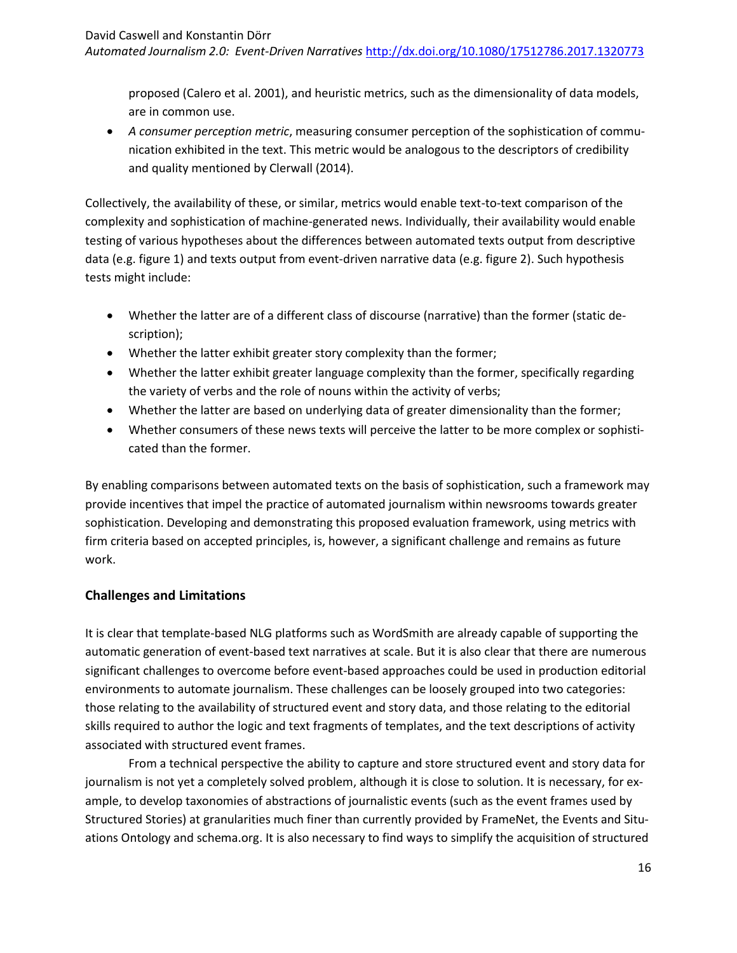### David Caswell and Konstantin Dörr

*Automated Journalism 2.0: EventDriven Narratives* <http://dx.doi.org/10.1080/17512786.2017.1320773>

proposed (Calero et al. 2001), and heuristic metrics, such as the dimensionality of data models, are in common use.

 *A consumer perception metric*, measuring consumer perception of the sophistication of communication exhibited in the text. This metric would be analogous to the descriptors of credibility and quality mentioned by Clerwall (2014).

Collectively, the availability of these, or similar, metrics would enable text-to-text comparison of the complexity and sophistication of machine-generated news. Individually, their availability would enable testing of various hypotheses about the differences between automated texts output from descriptive data (e.g. figure 1) and texts output from event-driven narrative data (e.g. figure 2). Such hypothesis tests might include:

- Whether the latter are of a different class of discourse (narrative) than the former (static description);
- Whether the latter exhibit greater story complexity than the former;
- Whether the latter exhibit greater language complexity than the former, specifically regarding the variety of verbs and the role of nouns within the activity of verbs;
- Whether the latter are based on underlying data of greater dimensionality than the former;
- Whether consumers of these news texts will perceive the latter to be more complex or sophisticated than the former.

By enabling comparisons between automated texts on the basis of sophistication, such a framework may provide incentives that impel the practice of automated journalism within newsrooms towards greater sophistication. Developing and demonstrating this proposed evaluation framework, using metrics with firm criteria based on accepted principles, is, however, a significant challenge and remains as future work.

# **Challenges and Limitations**

It is clear that template-based NLG platforms such as WordSmith are already capable of supporting the automatic generation of event-based text narratives at scale. But it is also clear that there are numerous significant challenges to overcome before event-based approaches could be used in production editorial environments to automate journalism. These challenges can be loosely grouped into two categories: those relating to the availability of structured event and story data, and those relating to the editorial skills required to author the logic and text fragments of templates, and the text descriptions of activity associated with structured event frames.

 From a technical perspective the ability to capture and store structured event and story data for journalism is not yet a completely solved problem, although it is close to solution. It is necessary, for example, to develop taxonomies of abstractions of journalistic events (such as the event frames used by Structured Stories) at granularities much finer than currently provided by FrameNet, the Events and Situations Ontology and schema.org. It is also necessary to find ways to simplify the acquisition of structured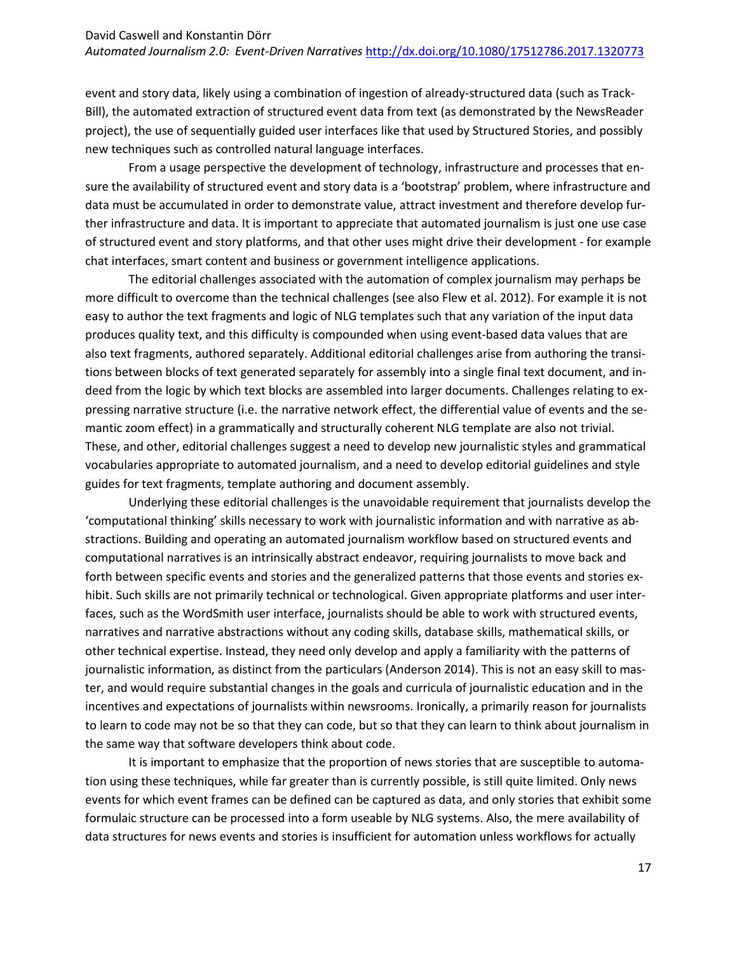event and story data, likely using a combination of ingestion of already-structured data (such as Track-Bill), the automated extraction of structured event data from text (as demonstrated by the NewsReader project), the use of sequentially guided user interfaces like that used by Structured Stories, and possibly new techniques such as controlled natural language interfaces.

 From a usage perspective the development of technology, infrastructure and processes that ensure the availability of structured event and story data is a 'bootstrap' problem, where infrastructure and data must be accumulated in order to demonstrate value, attract investment and therefore develop further infrastructure and data. It is important to appreciate that automated journalism is just one use case of structured event and story platforms, and that other uses might drive their development - for example chat interfaces, smart content and business or government intelligence applications.

The editorial challenges associated with the automation of complex journalism may perhaps be more difficult to overcome than the technical challenges (see also Flew et al. 2012). For example it is not easy to author the text fragments and logic of NLG templates such that any variation of the input data produces quality text, and this difficulty is compounded when using event-based data values that are also text fragments, authored separately. Additional editorial challenges arise from authoring the transitions between blocks of text generated separately for assembly into a single final text document, and indeed from the logic by which text blocks are assembled into larger documents. Challenges relating to expressing narrative structure (i.e. the narrative network effect, the differential value of events and the semantic zoom effect) in a grammatically and structurally coherent NLG template are also not trivial. These, and other, editorial challenges suggest a need to develop new journalistic styles and grammatical vocabularies appropriate to automated journalism, and a need to develop editorial guidelines and style guides for text fragments, template authoring and document assembly.

 Underlying these editorial challenges is the unavoidable requirement that journalists develop the 'computational thinking' skills necessary to work with journalistic information and with narrative as abstractions. Building and operating an automated journalism workflow based on structured events and computational narratives is an intrinsically abstract endeavor, requiring journalists to move back and forth between specific events and stories and the generalized patterns that those events and stories exhibit. Such skills are not primarily technical or technological. Given appropriate platforms and user interfaces, such as the WordSmith user interface, journalists should be able to work with structured events, narratives and narrative abstractions without any coding skills, database skills, mathematical skills, or other technical expertise. Instead, they need only develop and apply a familiarity with the patterns of journalistic information, as distinct from the particulars (Anderson 2014). This is not an easy skill to master, and would require substantial changes in the goals and curricula of journalistic education and in the incentives and expectations of journalists within newsrooms. Ironically, a primarily reason for journalists to learn to code may not be so that they can code, but so that they can learn to think about journalism in the same way that software developers think about code.

 It is important to emphasize that the proportion of news stories that are susceptible to automation using these techniques, while far greater than is currently possible, is still quite limited. Only news events for which event frames can be defined can be captured as data, and only stories that exhibit some formulaic structure can be processed into a form useable by NLG systems. Also, the mere availability of data structures for news events and stories is insufficient for automation unless workflows for actually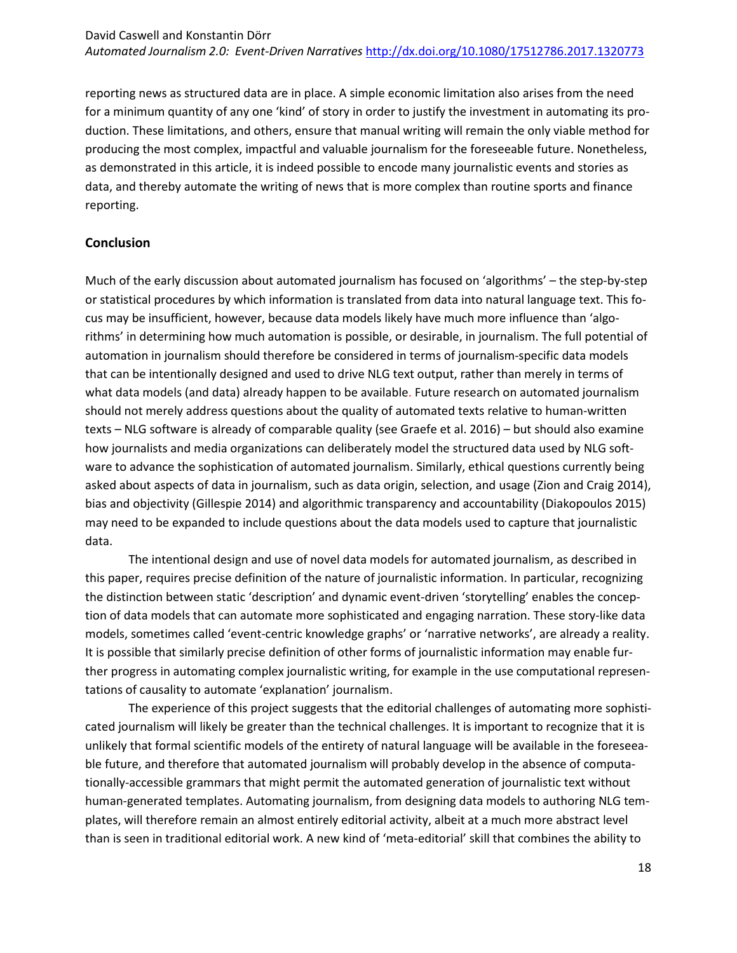*Automated Journalism 2.0: EventDriven Narratives* <http://dx.doi.org/10.1080/17512786.2017.1320773>

reporting news as structured data are in place. A simple economic limitation also arises from the need for a minimum quantity of any one 'kind' of story in order to justify the investment in automating its production. These limitations, and others, ensure that manual writing will remain the only viable method for producing the most complex, impactful and valuable journalism for the foreseeable future. Nonetheless, as demonstrated in this article, it is indeed possible to encode many journalistic events and stories as data, and thereby automate the writing of news that is more complex than routine sports and finance reporting.

### **Conclusion**

Much of the early discussion about automated journalism has focused on 'algorithms' – the step-by-step or statistical procedures by which information is translated from data into natural language text. This focus may be insufficient, however, because data models likely have much more influence than 'algorithms' in determining how much automation is possible, or desirable, in journalism. The full potential of automation in journalism should therefore be considered in terms of journalism-specific data models that can be intentionally designed and used to drive NLG text output, rather than merely in terms of what data models (and data) already happen to be available. Future research on automated journalism should not merely address questions about the quality of automated texts relative to human-written texts – NLG software is already of comparable quality (see Graefe et al. 2016) – but should also examine how journalists and media organizations can deliberately model the structured data used by NLG software to advance the sophistication of automated journalism. Similarly, ethical questions currently being asked about aspects of data in journalism, such as data origin, selection, and usage (Zion and Craig 2014), bias and objectivity (Gillespie 2014) and algorithmic transparency and accountability (Diakopoulos 2015) may need to be expanded to include questions about the data models used to capture that journalistic data.

 The intentional design and use of novel data models for automated journalism, as described in this paper, requires precise definition of the nature of journalistic information. In particular, recognizing the distinction between static 'description' and dynamic event-driven 'storytelling' enables the conception of data models that can automate more sophisticated and engaging narration. These story-like data models, sometimes called 'event-centric knowledge graphs' or 'narrative networks', are already a reality. It is possible that similarly precise definition of other forms of journalistic information may enable further progress in automating complex journalistic writing, for example in the use computational representations of causality to automate 'explanation' journalism.

The experience of this project suggests that the editorial challenges of automating more sophisticated journalism will likely be greater than the technical challenges. It is important to recognize that it is unlikely that formal scientific models of the entirety of natural language will be available in the foreseeable future, and therefore that automated journalism will probably develop in the absence of computationally-accessible grammars that might permit the automated generation of journalistic text without human-generated templates. Automating journalism, from designing data models to authoring NLG templates, will therefore remain an almost entirely editorial activity, albeit at a much more abstract level than is seen in traditional editorial work. A new kind of 'meta-editorial' skill that combines the ability to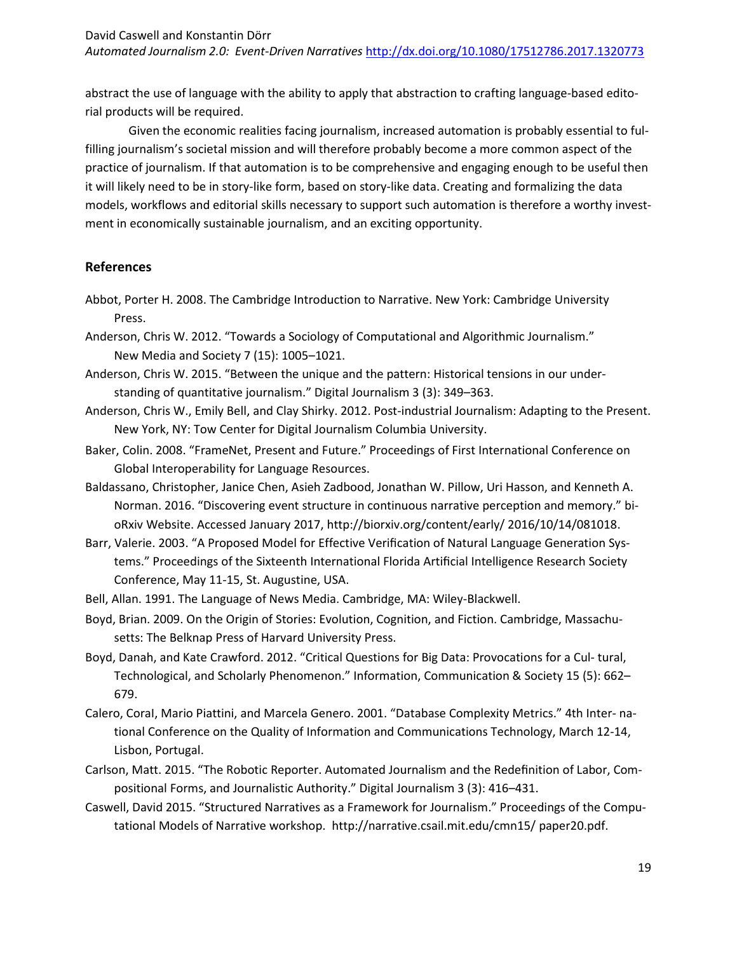abstract the use of language with the ability to apply that abstraction to crafting language-based editorial products will be required.

 Given the economic realities facing journalism, increased automation is probably essential to fulfilling journalism's societal mission and will therefore probably become a more common aspect of the practice of journalism. If that automation is to be comprehensive and engaging enough to be useful then it will likely need to be in story-like form, based on story-like data. Creating and formalizing the data models, workflows and editorial skills necessary to support such automation is therefore a worthy investment in economically sustainable journalism, and an exciting opportunity.

### **References**

- Abbot, Porter H[. 2008.](file:///C:/Users/kdoerr/Desktop/Automated%20Journalism%202%200%20Event%20driven%20narratives.docx%23_bookmark4) The Cambridge Introduction to Narrative. New York: Cambridge University Press.
- Anderson, Chris W. [2012](file:///C:/Users/kdoerr/Desktop/Automated%20Journalism%202%200%20Event%20driven%20narratives.docx%23_bookmark0). "Towards a Sociology of Computational and Algorithmic Journalism." New Media and Society 7 (15): 1005–1021.
- Anderson, Chris W. [2015.](file:///C:/Users/kdoerr/Desktop/Automated%20Journalism%202%200%20Event%20driven%20narratives.docx%23_bookmark11) "Between the unique and the pattern: Historical tensions in our understanding of quantitative journalism." Digital Journalism 3 (3): 349–363.
- Anderson, Chris W., Emily Bell, and Clay Shirky. [2012.](file:///C:/Users/kdoerr/Desktop/Automated%20Journalism%202%200%20Event%20driven%20narratives.docx%23_bookmark1) Post-industrial Journalism: Adapting to the Present. New York, NY: Tow Center for Digital Journalism Columbia University.
- Baker, Colin[. 2008.](file:///C:/Users/kdoerr/Desktop/Automated%20Journalism%202%200%20Event%20driven%20narratives.docx%23_bookmark5) "FrameNet, Present and Future." Proceedings of First International Conference on Global Interoperability for Language Resources.
- Baldassano, Christopher, Janice Chen, Asieh Zadbood, Jonathan W. Pillow, Uri Hasson, and Kenneth A. Norman[. 2016.](file:///C:/Users/kdoerr/Desktop/Automated%20Journalism%202%200%20Event%20driven%20narratives.docx%23_bookmark4) "Discovering event structure in continuous narrative perception and memory." bioRxiv Website. Accessed January 2017[, http://biorxiv.org/content/early/ 2016/10/14/081018.](http://biorxiv.org/content/early/2016/10/14/081018)
- Barr, Valerie[. 2003.](file:///C:/Users/kdoerr/Desktop/Automated%20Journalism%202%200%20Event%20driven%20narratives.docx%23_bookmark8) "A Proposed Model for Effective Verification of Natural Language Generation Systems." Proceedings of the Sixteenth International Florida Artificial Intelligence Research Society Conference, May 11-15, St. Augustine, USA.
- Bell, Allan. [1991.](file:///C:/Users/kdoerr/Desktop/Automated%20Journalism%202%200%20Event%20driven%20narratives.docx%23_bookmark9) The Language of News Media. Cambridge, MA: Wiley-Blackwell.
- Boyd, Brian. [2009.](file:///C:/Users/kdoerr/Desktop/Automated%20Journalism%202%200%20Event%20driven%20narratives.docx%23_bookmark4) On the Origin of Stories: Evolution, Cognition, and Fiction. Cambridge, Massachusetts: The Belknap Press of Harvard University Press.
- Boyd, Danah, and Kate Crawford[. 2012.](file:///C:/Users/kdoerr/Desktop/Automated%20Journalism%202%200%20Event%20driven%20narratives.docx%23_bookmark1) "Critical Questions for Big Data: Provocations for a Cul- tural, Technological, and Scholarly Phenomenon." Information, Communication & Society 15 (5): 662– 679.
- Calero, CoraI, Mario Piattini, and Marcela Genero[. 2001.](file:///C:/Users/kdoerr/Desktop/Automated%20Journalism%202%200%20Event%20driven%20narratives.docx%23_bookmark9) "Database Complexity Metrics." 4th Inter- national Conference on the Quality of Information and Communications Technology, March 12-14, Lisbon, Portugal.
- Carlson, Matt. [2015.](file:///C:/Users/kdoerr/Desktop/Automated%20Journalism%202%200%20Event%20driven%20narratives.docx%23_bookmark1) "The Robotic Reporter. Automated Journalism and the Redefinition of Labor, Compositional Forms, and Journalistic Authority." Digital Journalism 3 (3): 416–431.
- Caswell, Davi[d 2015.](file:///C:/Users/kdoerr/Desktop/Automated%20Journalism%202%200%20Event%20driven%20narratives.docx%23_bookmark2) "Structured Narratives as a Framework for Journalism." Proceedings of the Computational Models of Narrative workshop. [http://narrative.csail.mit.edu/cmn15/ paper20.pdf.](http://narrative.csail.mit.edu/cmn15/paper20.pdf)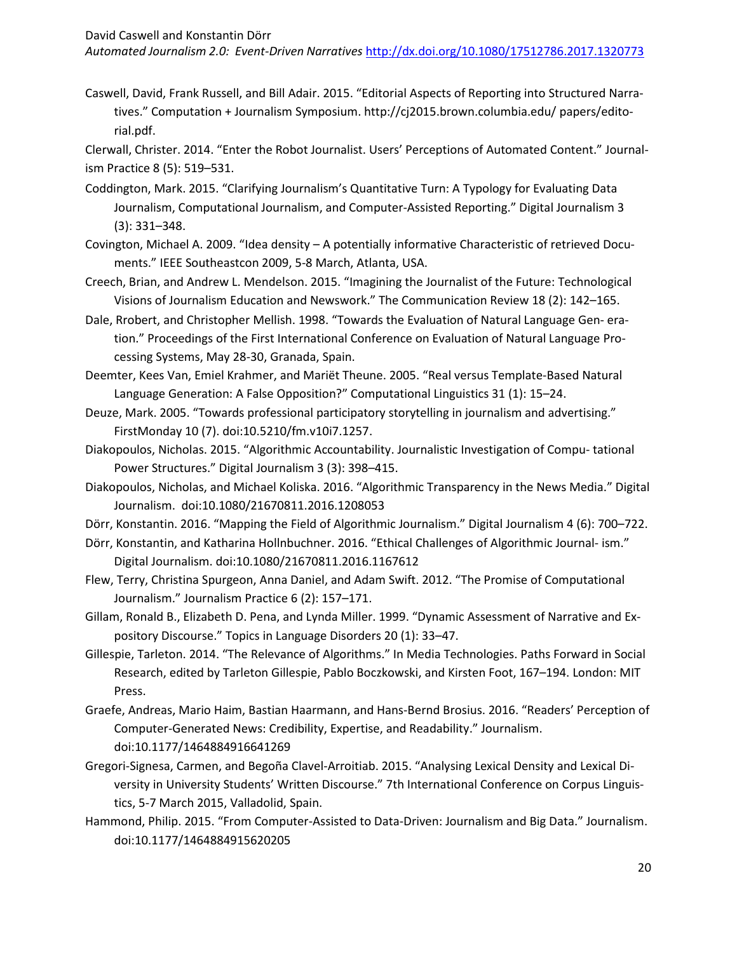Caswell, David, Frank Russell, and Bill Adair. [2015.](file:///C:/Users/kdoerr/Desktop/Automated%20Journalism%202%200%20Event%20driven%20narratives.docx%23_bookmark2) "Editorial Aspects of Reporting into Structured Narratives." Computation + Journalism Symposium[. http://cj2015.brown.columbia.edu/ papers/edito](http://cj2015.brown.columbia.edu/papers/editorial.pdf)[rial.pdf.](http://cj2015.brown.columbia.edu/papers/editorial.pdf)

Clerwall, Christer[. 2014.](file:///C:/Users/kdoerr/Desktop/Automated%20Journalism%202%200%20Event%20driven%20narratives.docx%23_bookmark1) "Enter the Robot Journalist. Users' Perceptions of Automated Content." Journalism Practice 8 (5): 519–531.

- Coddington, Mark. [2015.](file:///C:/Users/kdoerr/Desktop/Automated%20Journalism%202%200%20Event%20driven%20narratives.docx%23_bookmark0) "Clarifying Journalism's Quantitative Turn: A Typology for Evaluating Data Journalism, Computational Journalism, and Computer-Assisted Reporting." Digital Journalism 3 (3): 331–348.
- Covington, Michael A. [2009.](file:///C:/Users/kdoerr/Desktop/Automated%20Journalism%202%200%20Event%20driven%20narratives.docx%23_bookmark9) "Idea density A potentially informative Characteristic of retrieved Documents." IEEE Southeastcon 2009, 5-8 March, Atlanta, USA.
- Creech, Brian, and Andrew L. Mendelson. [2015.](file:///C:/Users/kdoerr/Desktop/Automated%20Journalism%202%200%20Event%20driven%20narratives.docx%23_bookmark3) "Imagining the Journalist of the Future: Technological Visions of Journalism Education and Newswork." The Communication Review 18 (2): 142–165.
- Dale, Rrobert, and Christopher Mellish. [1998.](file:///C:/Users/kdoerr/Desktop/Automated%20Journalism%202%200%20Event%20driven%20narratives.docx%23_bookmark8) "Towards the Evaluation of Natural Language Gen- eration." Proceedings of the First International Conference on Evaluation of Natural Language Processing Systems, May 28-30, Granada, Spain.

Deemter, Kees Van, Emiel Krahmer, and Mariët Theune[. 2005.](file:///C:/Users/kdoerr/Desktop/Automated%20Journalism%202%200%20Event%20driven%20narratives.docx%23_bookmark2) "Real versus Template-Based Natural Language Generation: A False Opposition?" Computational Linguistics 31 (1): 15–24.

- Deuze, Mark[. 2005.](file:///C:/Users/kdoerr/Desktop/Automated%20Journalism%202%200%20Event%20driven%20narratives.docx%23_bookmark4) "Towards professional participatory storytelling in journalism and advertising." FirstMonday 10 (7). [doi:10.5210/fm.v10i7.1257.](https://doi.org/10.5210/fm.v10i7.1257)
- Diakopoulos, Nicholas[. 2015.](file:///C:/Users/kdoerr/Desktop/Automated%20Journalism%202%200%20Event%20driven%20narratives.docx%23_bookmark1) "Algorithmic Accountability. Journalistic Investigation of Compu- tational Power Structures." Digital Journalism 3 (3): 398–415.
- Diakopoulos, Nicholas, and Michael Koliska[. 2016.](file:///C:/Users/kdoerr/Desktop/Automated%20Journalism%202%200%20Event%20driven%20narratives.docx%23_bookmark1) "Algorithmic Transparency in the News Media." Digital Journalism. [doi:10.1080/21670811.2016.1208053](https://doi.org/10.1080/21670811.2016.1208053)

Dörr, Konstantin. [2016.](file:///C:/Users/kdoerr/Desktop/Automated%20Journalism%202%200%20Event%20driven%20narratives.docx%23_bookmark0) "Mapping the Field of Algorithmic Journalism." Digital Journalism 4 (6): 700–722.

- Dörr, Konstantin, and Katharina Hollnbuchner[. 2016.](file:///C:/Users/kdoerr/Desktop/Automated%20Journalism%202%200%20Event%20driven%20narratives.docx%23_bookmark1) "Ethical Challenges of Algorithmic Journal- ism." Digital Journalism. [doi:10.1080/21670811.2016.1167612](https://doi.org/10.1080/21670811.2016.1167612)
- Flew, Terry, Christina Spurgeon, Anna Daniel, and Adam Swift[. 2012.](file:///C:/Users/kdoerr/Desktop/Automated%20Journalism%202%200%20Event%20driven%20narratives.docx%23_bookmark10) "The Promise of Computational Journalism." Journalism Practice 6 (2): 157–171.
- Gillam, Ronald B., Elizabeth D. Pena, and Lynda Miller. [1999.](file:///C:/Users/kdoerr/Desktop/Automated%20Journalism%202%200%20Event%20driven%20narratives.docx%23_bookmark9) "Dynamic Assessment of Narrative and Expository Discourse." Topics in Language Disorders 20 (1): 33–47.
- Gillespie, Tarleton. [2014.](file:///C:/Users/kdoerr/Desktop/Automated%20Journalism%202%200%20Event%20driven%20narratives.docx%23_bookmark11) "The Relevance of Algorithms." In Media Technologies. Paths Forward in Social Research, edited by Tarleton Gillespie, Pablo Boczkowski, and Kirsten Foot, 167–194. London: MIT Press.
- Graefe, Andreas, Mario Haim, Bastian Haarmann, and Hans-Bernd Brosius. [2016.](file:///C:/Users/kdoerr/Desktop/Automated%20Journalism%202%200%20Event%20driven%20narratives.docx%23_bookmark1) "Readers' Perception of Computer-Generated News: Credibility, Expertise, and Readability." Journalism. [doi:10.1177/1464884916641269](https://doi.org/10.1177/1464884916641269)
- Gregori-Signesa, Carmen, and Begoña Clavel-Arroitiab. [2015.](file:///C:/Users/kdoerr/Desktop/Automated%20Journalism%202%200%20Event%20driven%20narratives.docx%23_bookmark9) "Analysing Lexical Density and Lexical Diversity in University Students' Written Discourse." 7th International Conference on Corpus Linguistics, 5-7 March 2015, Valladolid, Spain.
- Hammond, Philip. [2015.](file:///C:/Users/kdoerr/Desktop/Automated%20Journalism%202%200%20Event%20driven%20narratives.docx%23_bookmark1) "From Computer-Assisted to Data-Driven: Journalism and Big Data." Journalism. [doi:10.1177/1464884915620205](https://doi.org/10.1177/1464884915620205)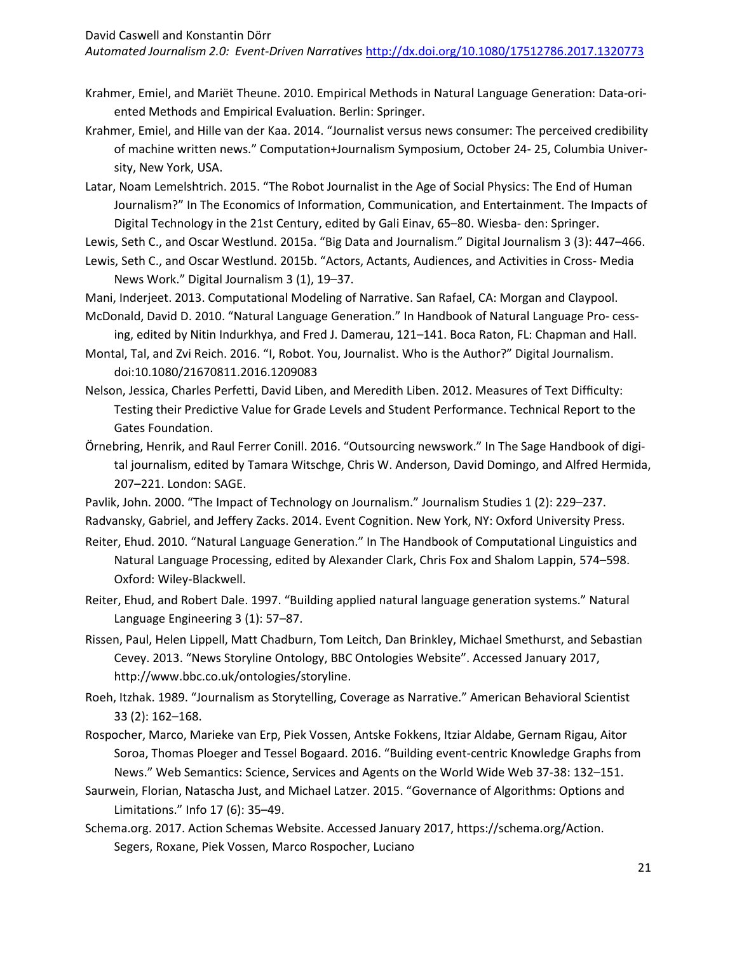- Krahmer, Emiel, and Mariët Theune[. 2010.](file:///C:/Users/kdoerr/Desktop/Automated%20Journalism%202%200%20Event%20driven%20narratives.docx%23_bookmark8) Empirical Methods in Natural Language Generation: Data-oriented Methods and Empirical Evaluation. Berlin: Springer.
- Krahmer, Emiel, and Hille van der Kaa. [2014.](file:///C:/Users/kdoerr/Desktop/Automated%20Journalism%202%200%20Event%20driven%20narratives.docx%23_bookmark8) "Journalist versus news consumer: The perceived credibility of machine written news." Computation+Journalism Symposium, October 24- 25, Columbia University, New York, USA.
- Latar, Noam Lemelshtrich. [2015.](file:///C:/Users/kdoerr/Desktop/Automated%20Journalism%202%200%20Event%20driven%20narratives.docx%23_bookmark1) "The Robot Journalist in the Age of Social Physics: The End of Human Journalism?" In The Economics of Information, Communication, and Entertainment. The Impacts of Digital Technology in the 21st Century, edited by Gali Einav, 65–80. Wiesba- den: Springer.

Lewis, Seth C., and Oscar Westlund. [2015a.](file:///C:/Users/kdoerr/Desktop/Automated%20Journalism%202%200%20Event%20driven%20narratives.docx%23_bookmark1) "Big Data and Journalism." Digital Journalism 3 (3): 447–466.

- Lewis, Seth C., and Oscar Westlund. [2015b.](file:///C:/Users/kdoerr/Desktop/Automated%20Journalism%202%200%20Event%20driven%20narratives.docx%23_bookmark1) "Actors, Actants, Audiences, and Activities in Cross- Media News Work." Digital Journalism 3 (1), 19–37.
- Mani, Inderjeet. [2013.](file:///C:/Users/kdoerr/Desktop/Automated%20Journalism%202%200%20Event%20driven%20narratives.docx%23_bookmark4) Computational Modeling of Narrative. San Rafael, CA: Morgan and Claypool.

McDonald, David D. [2010.](file:///C:/Users/kdoerr/Desktop/Automated%20Journalism%202%200%20Event%20driven%20narratives.docx%23_bookmark0) "Natural Language Generation." In Handbook of Natural Language Pro- cess-

ing, edited by Nitin Indurkhya, and Fred J. Damerau, 121–141. Boca Raton, FL: Chapman and Hall.

- Montal, Tal, and Zvi Reich. [2016.](file:///C:/Users/kdoerr/Desktop/Automated%20Journalism%202%200%20Event%20driven%20narratives.docx%23_bookmark1) "I, Robot. You, Journalist. Who is the Author?" Digital Journalism. [doi:10.1080/21670811.2016.1209083](https://doi.org/10.1080/21670811.2016.1209083)
- Nelson, Jessica, Charles Perfetti, David Liben, and Meredith Liben. [2012.](file:///C:/Users/kdoerr/Desktop/Automated%20Journalism%202%200%20Event%20driven%20narratives.docx%23_bookmark9) Measures of Text Difficulty: Testing their Predictive Value for Grade Levels and Student Performance. Technical Report to the Gates Foundation.
- Örnebring, Henrik, and Raul Ferrer Conill. [2016.](file:///C:/Users/kdoerr/Desktop/Automated%20Journalism%202%200%20Event%20driven%20narratives.docx%23_bookmark1) "Outsourcing newswork." In The Sage Handbook of digital journalism, edited by Tamara Witschge, Chris W. Anderson, David Domingo, and Alfred Hermida, 207–221. London: SAGE.

Pavlik, John. [2000.](file:///C:/Users/kdoerr/Desktop/Automated%20Journalism%202%200%20Event%20driven%20narratives.docx%23_bookmark4) "The Impact of Technology on Journalism." Journalism Studies 1 (2): 229–237. Radvansky, Gabriel, and Jeffery Zacks[. 2014.](file:///C:/Users/kdoerr/Desktop/Automated%20Journalism%202%200%20Event%20driven%20narratives.docx%23_bookmark4) Event Cognition. New York, NY: Oxford University Press.

- Reiter, Ehud. [2010.](file:///C:/Users/kdoerr/Desktop/Automated%20Journalism%202%200%20Event%20driven%20narratives.docx%23_bookmark0) "Natural Language Generation." In The Handbook of Computational Linguistics and Natural Language Processing, edited by Alexander Clark, Chris Fox and Shalom Lappin, 574–598. Oxford: Wiley-Blackwell.
- Reiter, Ehud, and Robert Dale[. 1997.](file:///C:/Users/kdoerr/Desktop/Automated%20Journalism%202%200%20Event%20driven%20narratives.docx%23_bookmark3) "Building applied natural language generation systems." Natural Language Engineering 3 (1): 57–87.
- Rissen, Paul, Helen Lippell, Matt Chadburn, Tom Leitch, Dan Brinkley, Michael Smethurst, and Sebastian Cevey. [2013.](file:///C:/Users/kdoerr/Desktop/Automated%20Journalism%202%200%20Event%20driven%20narratives.docx%23_bookmark5) "News Storyline Ontology, BBC Ontologies Website". Accessed January 2017, [http://www.bbc.co.uk/ontologies/storyline.](http://www.bbc.co.uk/ontologies/storyline)
- Roeh, Itzhak. [1989.](file:///C:/Users/kdoerr/Desktop/Automated%20Journalism%202%200%20Event%20driven%20narratives.docx%23_bookmark4) "Journalism as Storytelling, Coverage as Narrative." American Behavioral Scientist 33 (2): 162–168.
- Rospocher, Marco, Marieke van Erp, Piek Vossen, Antske Fokkens, Itziar Aldabe, Gernam Rigau, Aitor Soroa, Thomas Ploeger and Tessel Bogaard[. 2016.](file:///C:/Users/kdoerr/Desktop/Automated%20Journalism%202%200%20Event%20driven%20narratives.docx%23_bookmark4) "Building event-centric Knowledge Graphs from News." Web Semantics: Science, Services and Agents on the World Wide Web 37-38: 132–151.
- Saurwein, Florian, Natascha Just, and Michael Latzer. [2015.](file:///C:/Users/kdoerr/Desktop/Automated%20Journalism%202%200%20Event%20driven%20narratives.docx%23_bookmark1) "Governance of Algorithms: Options and Limitations." Info 17 (6): 35–49.
- Schema.org[. 2017.](file:///C:/Users/kdoerr/Desktop/Automated%20Journalism%202%200%20Event%20driven%20narratives.docx%23_bookmark5) Action Schemas Website. Accessed January 2017[, https://schema.org/Action.](https://schema.org/Action) Segers, Roxane, Piek Vossen, Marco Rospocher, Luciano